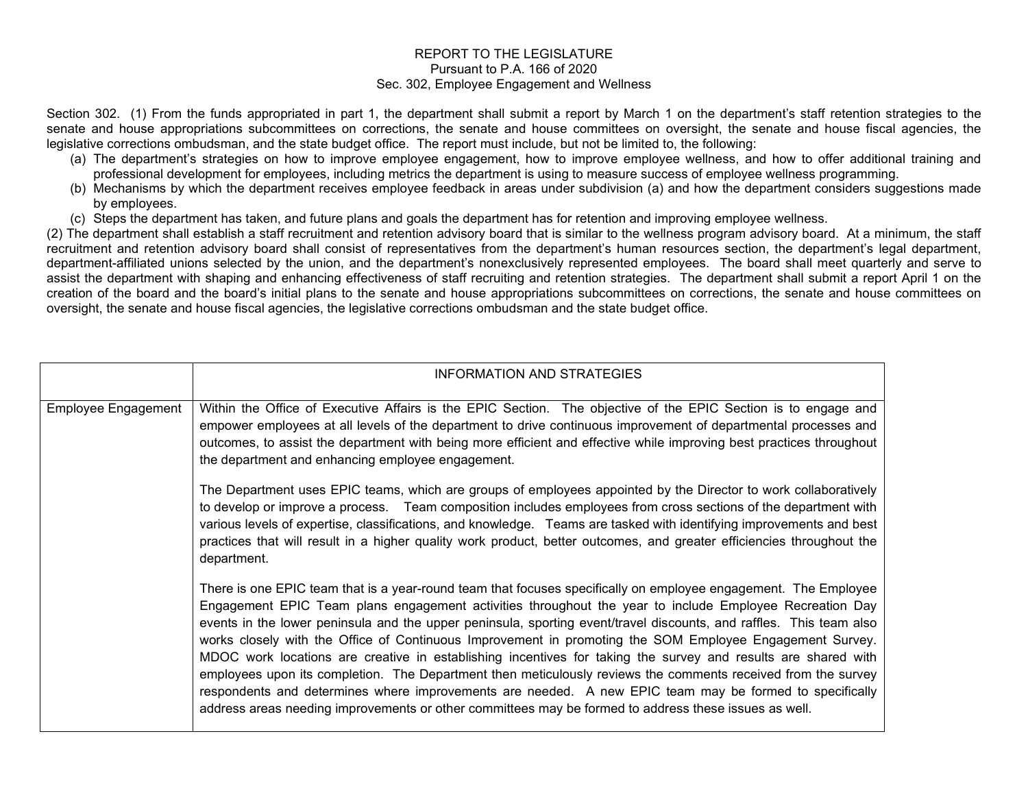#### REPORT TO THE LEGISLATURE Pursuant to P.A. 166 of 2020 Sec. 302, Employee Engagement and Wellness

Section 302. (1) From the funds appropriated in part 1, the department shall submit a report by March 1 on the department's staff retention strategies to the senate and house appropriations subcommittees on corrections, the senate and house committees on oversight, the senate and house fiscal agencies, the legislative corrections ombudsman, and the state budget office. The report must include, but not be limited to, the following:

- (a) The department's strategies on how to improve employee engagement, how to improve employee wellness, and how to offer additional training and professional development for employees, including metrics the department is using to measure success of employee wellness programming.
- (b) Mechanisms by which the department receives employee feedback in areas under subdivision (a) and how the department considers suggestions made by employees.
- (c) Steps the department has taken, and future plans and goals the department has for retention and improving employee wellness.

(2) The department shall establish a staff recruitment and retention advisory board that is similar to the wellness program advisory board. At a minimum, the staff recruitment and retention advisory board shall consist of representatives from the department's human resources section, the department's legal department, department-affiliated unions selected by the union, and the department's nonexclusively represented employees. The board shall meet quarterly and serve to assist the department with shaping and enhancing effectiveness of staff recruiting and retention strategies. The department shall submit a report April 1 on the creation of the board and the board's initial plans to the senate and house appropriations subcommittees on corrections, the senate and house committees on oversight, the senate and house fiscal agencies, the legislative corrections ombudsman and the state budget office.

|                            | <b>INFORMATION AND STRATEGIES</b>                                                                                                                                                                                                                                                                                                                                                                                                                                                                                                                                                                                                                                                                                                                                                                                                                                                                                   |
|----------------------------|---------------------------------------------------------------------------------------------------------------------------------------------------------------------------------------------------------------------------------------------------------------------------------------------------------------------------------------------------------------------------------------------------------------------------------------------------------------------------------------------------------------------------------------------------------------------------------------------------------------------------------------------------------------------------------------------------------------------------------------------------------------------------------------------------------------------------------------------------------------------------------------------------------------------|
| <b>Employee Engagement</b> | Within the Office of Executive Affairs is the EPIC Section. The objective of the EPIC Section is to engage and<br>empower employees at all levels of the department to drive continuous improvement of departmental processes and<br>outcomes, to assist the department with being more efficient and effective while improving best practices throughout<br>the department and enhancing employee engagement.                                                                                                                                                                                                                                                                                                                                                                                                                                                                                                      |
|                            | The Department uses EPIC teams, which are groups of employees appointed by the Director to work collaboratively<br>to develop or improve a process. Team composition includes employees from cross sections of the department with<br>various levels of expertise, classifications, and knowledge. Teams are tasked with identifying improvements and best<br>practices that will result in a higher quality work product, better outcomes, and greater efficiencies throughout the<br>department.                                                                                                                                                                                                                                                                                                                                                                                                                  |
|                            | There is one EPIC team that is a year-round team that focuses specifically on employee engagement. The Employee<br>Engagement EPIC Team plans engagement activities throughout the year to include Employee Recreation Day<br>events in the lower peninsula and the upper peninsula, sporting event/travel discounts, and raffles. This team also<br>works closely with the Office of Continuous Improvement in promoting the SOM Employee Engagement Survey.<br>MDOC work locations are creative in establishing incentives for taking the survey and results are shared with<br>employees upon its completion. The Department then meticulously reviews the comments received from the survey<br>respondents and determines where improvements are needed. A new EPIC team may be formed to specifically<br>address areas needing improvements or other committees may be formed to address these issues as well. |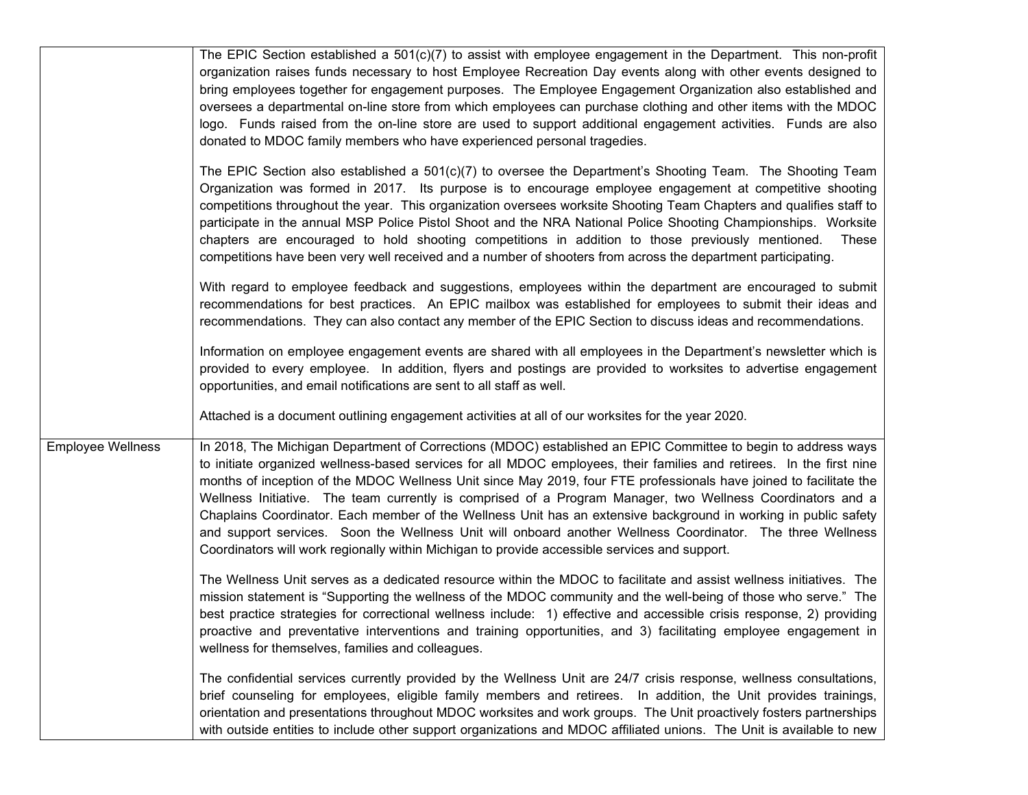|                          | The EPIC Section established a $501(c)(7)$ to assist with employee engagement in the Department. This non-profit<br>organization raises funds necessary to host Employee Recreation Day events along with other events designed to<br>bring employees together for engagement purposes. The Employee Engagement Organization also established and<br>oversees a departmental on-line store from which employees can purchase clothing and other items with the MDOC<br>logo. Funds raised from the on-line store are used to support additional engagement activities. Funds are also<br>donated to MDOC family members who have experienced personal tragedies.                                                                                                                                            |
|--------------------------|-------------------------------------------------------------------------------------------------------------------------------------------------------------------------------------------------------------------------------------------------------------------------------------------------------------------------------------------------------------------------------------------------------------------------------------------------------------------------------------------------------------------------------------------------------------------------------------------------------------------------------------------------------------------------------------------------------------------------------------------------------------------------------------------------------------|
|                          | The EPIC Section also established a $501(c)(7)$ to oversee the Department's Shooting Team. The Shooting Team<br>Organization was formed in 2017. Its purpose is to encourage employee engagement at competitive shooting<br>competitions throughout the year. This organization oversees worksite Shooting Team Chapters and qualifies staff to<br>participate in the annual MSP Police Pistol Shoot and the NRA National Police Shooting Championships. Worksite<br>chapters are encouraged to hold shooting competitions in addition to those previously mentioned.<br>These<br>competitions have been very well received and a number of shooters from across the department participating.                                                                                                              |
|                          | With regard to employee feedback and suggestions, employees within the department are encouraged to submit<br>recommendations for best practices. An EPIC mailbox was established for employees to submit their ideas and<br>recommendations. They can also contact any member of the EPIC Section to discuss ideas and recommendations.                                                                                                                                                                                                                                                                                                                                                                                                                                                                    |
|                          | Information on employee engagement events are shared with all employees in the Department's newsletter which is<br>provided to every employee. In addition, flyers and postings are provided to worksites to advertise engagement<br>opportunities, and email notifications are sent to all staff as well.                                                                                                                                                                                                                                                                                                                                                                                                                                                                                                  |
|                          | Attached is a document outlining engagement activities at all of our worksites for the year 2020.                                                                                                                                                                                                                                                                                                                                                                                                                                                                                                                                                                                                                                                                                                           |
| <b>Employee Wellness</b> | In 2018, The Michigan Department of Corrections (MDOC) established an EPIC Committee to begin to address ways<br>to initiate organized wellness-based services for all MDOC employees, their families and retirees. In the first nine<br>months of inception of the MDOC Wellness Unit since May 2019, four FTE professionals have joined to facilitate the<br>Wellness Initiative. The team currently is comprised of a Program Manager, two Wellness Coordinators and a<br>Chaplains Coordinator. Each member of the Wellness Unit has an extensive background in working in public safety<br>and support services. Soon the Wellness Unit will onboard another Wellness Coordinator. The three Wellness<br>Coordinators will work regionally within Michigan to provide accessible services and support. |
|                          | The Wellness Unit serves as a dedicated resource within the MDOC to facilitate and assist wellness initiatives. The<br>mission statement is "Supporting the wellness of the MDOC community and the well-being of those who serve." The<br>best practice strategies for correctional wellness include: 1) effective and accessible crisis response, 2) providing<br>proactive and preventative interventions and training opportunities, and 3) facilitating employee engagement in<br>wellness for themselves, families and colleagues.                                                                                                                                                                                                                                                                     |
|                          | The confidential services currently provided by the Wellness Unit are 24/7 crisis response, wellness consultations,<br>brief counseling for employees, eligible family members and retirees. In addition, the Unit provides trainings,<br>orientation and presentations throughout MDOC worksites and work groups. The Unit proactively fosters partnerships<br>with outside entities to include other support organizations and MDOC affiliated unions. The Unit is available to new                                                                                                                                                                                                                                                                                                                       |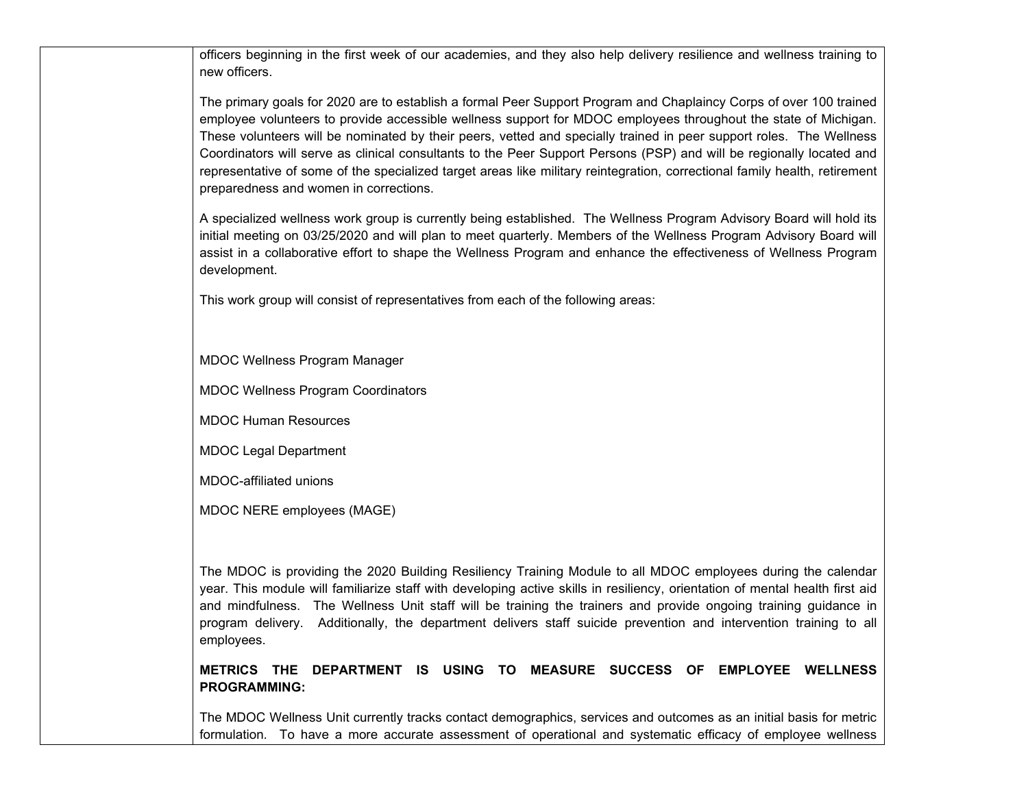officers beginning in the first week of our academies, and they also help delivery resilience and wellness training to new officers.

The primary goals for 2020 are to establish a formal Peer Support Program and Chaplaincy Corps of over 100 trained employee volunteers to provide accessible wellness support for MDOC employees throughout the state of Michigan. These volunteers will be nominated by their peers, vetted and specially trained in peer support roles. The Wellness Coordinators will serve as clinical consultants to the Peer Support Persons (PSP) and will be regionally located and representative of some of the specialized target areas like military reintegration, correctional family health, retirement preparedness and women in corrections.

A specialized wellness work group is currently being established. The Wellness Program Advisory Board will hold its initial meeting on 03/25/2020 and will plan to meet quarterly. Members of the Wellness Program Advisory Board will assist in a collaborative effort to shape the Wellness Program and enhance the effectiveness of Wellness Program development.

This work group will consist of representatives from each of the following areas:

MDOC Wellness Program Manager

MDOC Wellness Program Coordinators

MDOC Human Resources

MDOC Legal Department

MDOC-affiliated unions

MDOC NERE employees (MAGE)

The MDOC is providing the 2020 Building Resiliency Training Module to all MDOC employees during the calendar year. This module will familiarize staff with developing active skills in resiliency, orientation of mental health first aid and mindfulness. The Wellness Unit staff will be training the trainers and provide ongoing training guidance in program delivery. Additionally, the department delivers staff suicide prevention and intervention training to all employees.

**METRICS THE DEPARTMENT IS USING TO MEASURE SUCCESS OF EMPLOYEE WELLNESS PROGRAMMING:**

The MDOC Wellness Unit currently tracks contact demographics, services and outcomes as an initial basis for metric formulation. To have a more accurate assessment of operational and systematic efficacy of employee wellness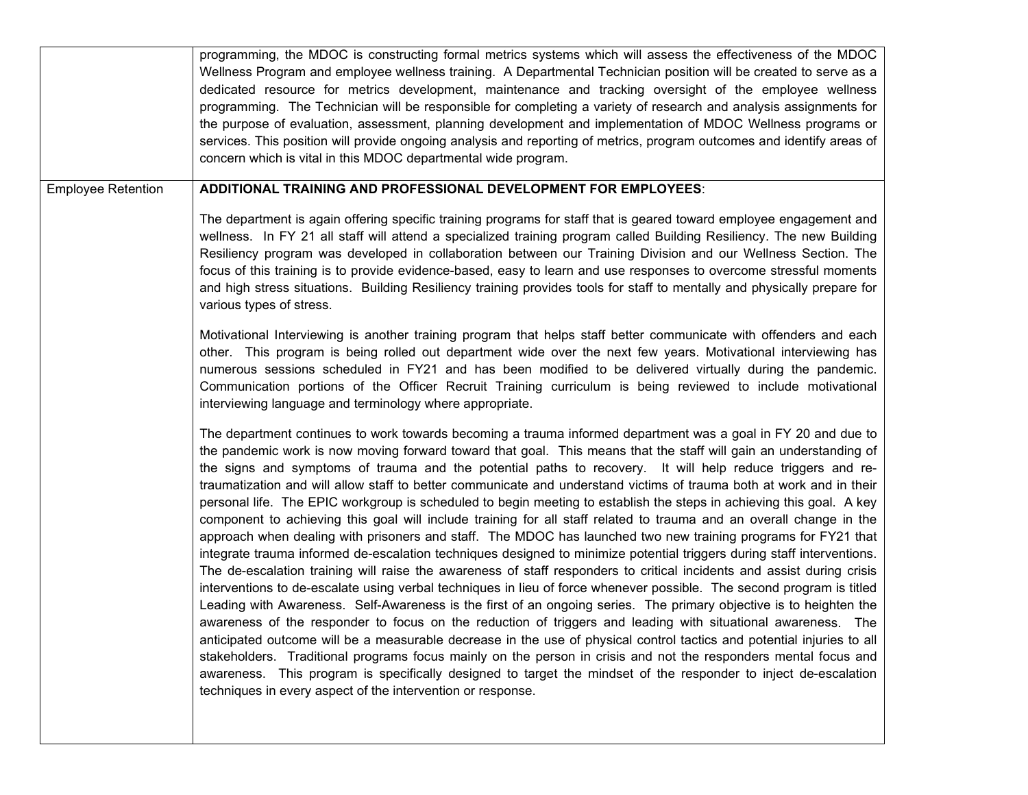|                           | programming, the MDOC is constructing formal metrics systems which will assess the effectiveness of the MDOC<br>Wellness Program and employee wellness training. A Departmental Technician position will be created to serve as a<br>dedicated resource for metrics development, maintenance and tracking oversight of the employee wellness<br>programming. The Technician will be responsible for completing a variety of research and analysis assignments for<br>the purpose of evaluation, assessment, planning development and implementation of MDOC Wellness programs or<br>services. This position will provide ongoing analysis and reporting of metrics, program outcomes and identify areas of<br>concern which is vital in this MDOC departmental wide program.                                                                                                                                                                                                                                                                                                                                                                                                                                                                                                                                                                                                                                                                                                                                                                                                                                                                                                                                                                                                                                                                                                               |
|---------------------------|--------------------------------------------------------------------------------------------------------------------------------------------------------------------------------------------------------------------------------------------------------------------------------------------------------------------------------------------------------------------------------------------------------------------------------------------------------------------------------------------------------------------------------------------------------------------------------------------------------------------------------------------------------------------------------------------------------------------------------------------------------------------------------------------------------------------------------------------------------------------------------------------------------------------------------------------------------------------------------------------------------------------------------------------------------------------------------------------------------------------------------------------------------------------------------------------------------------------------------------------------------------------------------------------------------------------------------------------------------------------------------------------------------------------------------------------------------------------------------------------------------------------------------------------------------------------------------------------------------------------------------------------------------------------------------------------------------------------------------------------------------------------------------------------------------------------------------------------------------------------------------------------|
| <b>Employee Retention</b> | ADDITIONAL TRAINING AND PROFESSIONAL DEVELOPMENT FOR EMPLOYEES:                                                                                                                                                                                                                                                                                                                                                                                                                                                                                                                                                                                                                                                                                                                                                                                                                                                                                                                                                                                                                                                                                                                                                                                                                                                                                                                                                                                                                                                                                                                                                                                                                                                                                                                                                                                                                            |
|                           | The department is again offering specific training programs for staff that is geared toward employee engagement and<br>wellness. In FY 21 all staff will attend a specialized training program called Building Resiliency. The new Building<br>Resiliency program was developed in collaboration between our Training Division and our Wellness Section. The<br>focus of this training is to provide evidence-based, easy to learn and use responses to overcome stressful moments<br>and high stress situations. Building Resiliency training provides tools for staff to mentally and physically prepare for<br>various types of stress.                                                                                                                                                                                                                                                                                                                                                                                                                                                                                                                                                                                                                                                                                                                                                                                                                                                                                                                                                                                                                                                                                                                                                                                                                                                 |
|                           | Motivational Interviewing is another training program that helps staff better communicate with offenders and each<br>other. This program is being rolled out department wide over the next few years. Motivational interviewing has<br>numerous sessions scheduled in FY21 and has been modified to be delivered virtually during the pandemic.<br>Communication portions of the Officer Recruit Training curriculum is being reviewed to include motivational<br>interviewing language and terminology where appropriate.                                                                                                                                                                                                                                                                                                                                                                                                                                                                                                                                                                                                                                                                                                                                                                                                                                                                                                                                                                                                                                                                                                                                                                                                                                                                                                                                                                 |
|                           | The department continues to work towards becoming a trauma informed department was a goal in FY 20 and due to<br>the pandemic work is now moving forward toward that goal. This means that the staff will gain an understanding of<br>the signs and symptoms of trauma and the potential paths to recovery. It will help reduce triggers and re-<br>traumatization and will allow staff to better communicate and understand victims of trauma both at work and in their<br>personal life. The EPIC workgroup is scheduled to begin meeting to establish the steps in achieving this goal. A key<br>component to achieving this goal will include training for all staff related to trauma and an overall change in the<br>approach when dealing with prisoners and staff. The MDOC has launched two new training programs for FY21 that<br>integrate trauma informed de-escalation techniques designed to minimize potential triggers during staff interventions.<br>The de-escalation training will raise the awareness of staff responders to critical incidents and assist during crisis<br>interventions to de-escalate using verbal techniques in lieu of force whenever possible. The second program is titled<br>Leading with Awareness. Self-Awareness is the first of an ongoing series. The primary objective is to heighten the<br>awareness of the responder to focus on the reduction of triggers and leading with situational awareness. The<br>anticipated outcome will be a measurable decrease in the use of physical control tactics and potential injuries to all<br>stakeholders. Traditional programs focus mainly on the person in crisis and not the responders mental focus and<br>awareness. This program is specifically designed to target the mindset of the responder to inject de-escalation<br>techniques in every aspect of the intervention or response. |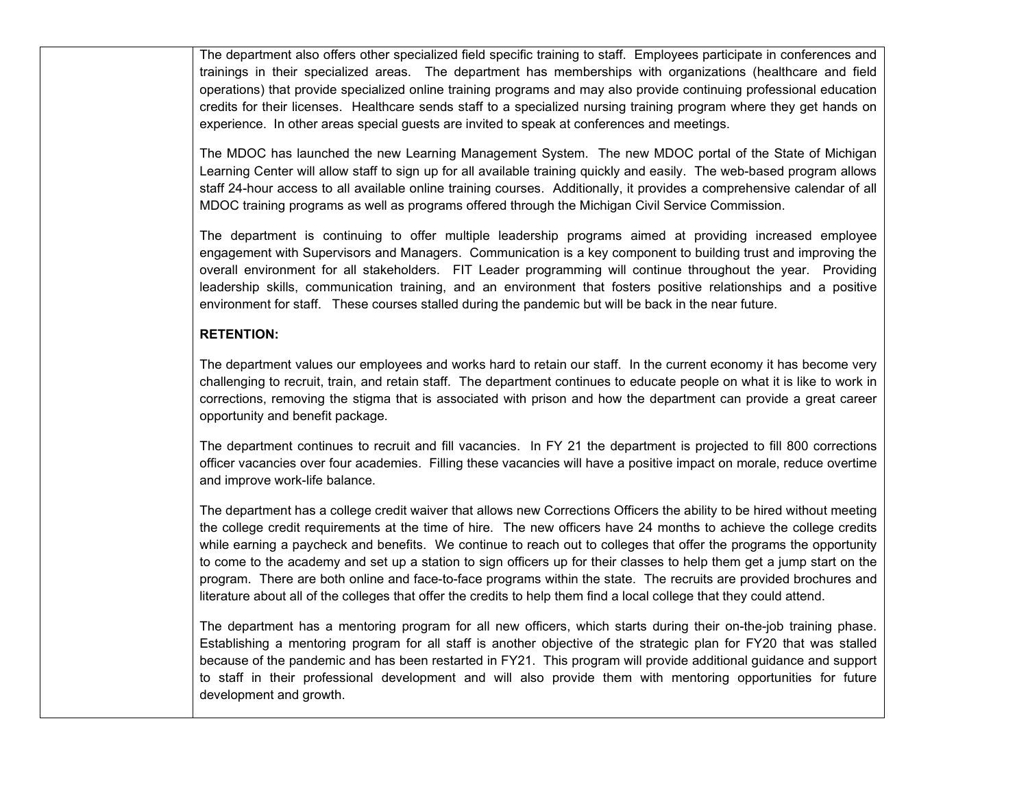The department also offers other specialized field specific training to staff. Employees participate in conferences and trainings in their specialized areas. The department has memberships with organizations (healthcare and field operations) that provide specialized online training programs and may also provide continuing professional education credits for their licenses. Healthcare sends staff to a specialized nursing training program where they get hands on experience. In other areas special guests are invited to speak at conferences and meetings.

The MDOC has launched the new Learning Management System. The new MDOC portal of the State of Michigan Learning Center will allow staff to sign up for all available training quickly and easily. The web-based program allows staff 24-hour access to all available online training courses. Additionally, it provides a comprehensive calendar of all MDOC training programs as well as programs offered through the Michigan Civil Service Commission.

The department is continuing to offer multiple leadership programs aimed at providing increased employee engagement with Supervisors and Managers. Communication is a key component to building trust and improving the overall environment for all stakeholders. FIT Leader programming will continue throughout the year. Providing leadership skills, communication training, and an environment that fosters positive relationships and a positive environment for staff. These courses stalled during the pandemic but will be back in the near future.

#### **RETENTION:**

The department values our employees and works hard to retain our staff. In the current economy it has become very challenging to recruit, train, and retain staff. The department continues to educate people on what it is like to work in corrections, removing the stigma that is associated with prison and how the department can provide a great career opportunity and benefit package.

The department continues to recruit and fill vacancies. In FY 21 the department is projected to fill 800 corrections officer vacancies over four academies. Filling these vacancies will have a positive impact on morale, reduce overtime and improve work-life balance.

The department has a college credit waiver that allows new Corrections Officers the ability to be hired without meeting the college credit requirements at the time of hire. The new officers have 24 months to achieve the college credits while earning a paycheck and benefits. We continue to reach out to colleges that offer the programs the opportunity to come to the academy and set up a station to sign officers up for their classes to help them get a jump start on the program. There are both online and face-to-face programs within the state. The recruits are provided brochures and literature about all of the colleges that offer the credits to help them find a local college that they could attend.

The department has a mentoring program for all new officers, which starts during their on-the-job training phase. Establishing a mentoring program for all staff is another objective of the strategic plan for FY20 that was stalled because of the pandemic and has been restarted in FY21. This program will provide additional guidance and support to staff in their professional development and will also provide them with mentoring opportunities for future development and growth.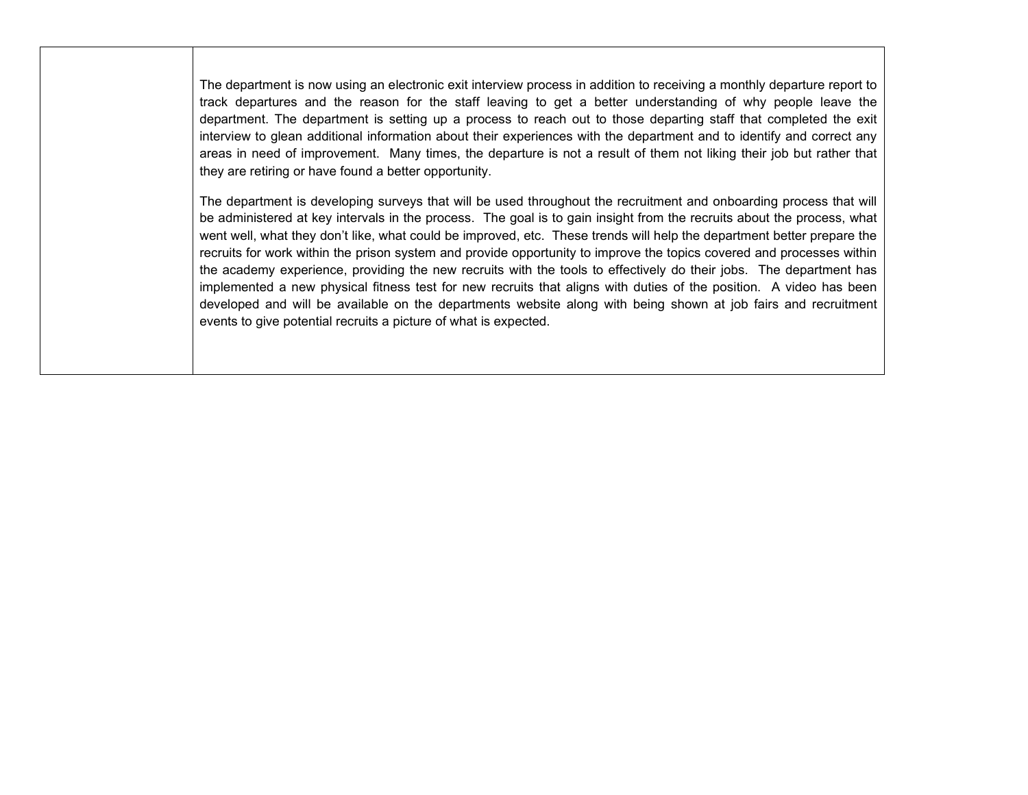The department is now using an electronic exit interview process in addition to receiving a monthly departure report to track departures and the reason for the staff leaving to get a better understanding of why people leave the department. The department is setting up a process to reach out to those departing staff that completed the exit interview to glean additional information about their experiences with the department and to identify and correct any areas in need of improvement. Many times, the departure is not a result of them not liking their job but rather that they are retiring or have found a better opportunity.

The department is developing surveys that will be used throughout the recruitment and onboarding process that will be administered at key intervals in the process. The goal is to gain insight from the recruits about the process, what went well, what they don't like, what could be improved, etc. These trends will help the department better prepare the recruits for work within the prison system and provide opportunity to improve the topics covered and processes within the academy experience, providing the new recruits with the tools to effectively do their jobs. The department has implemented a new physical fitness test for new recruits that aligns with duties of the position. A video has been developed and will be available on the departments website along with being shown at job fairs and recruitment events to give potential recruits a picture of what is expected.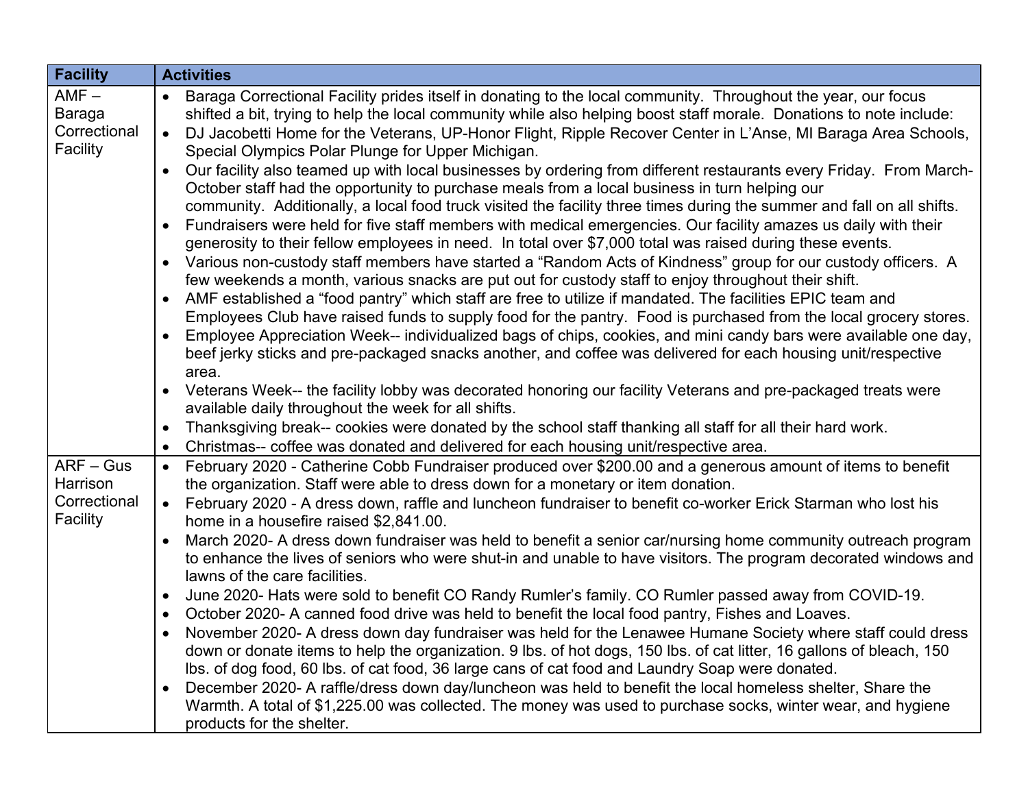| <b>Facility</b>                                     | <b>Activities</b>                                                                                                                                                                                                                                                                                                                                                                                                                                                                                                                                                                                                                                                                                                                                                                                                                                                                                                                                                                                                                                                                                                                                                                                                                                                                                                                                                                                                                                                                                                                                                                                                                                                                                                                                                                                                                                                                                                                                                                                                                                   |
|-----------------------------------------------------|-----------------------------------------------------------------------------------------------------------------------------------------------------------------------------------------------------------------------------------------------------------------------------------------------------------------------------------------------------------------------------------------------------------------------------------------------------------------------------------------------------------------------------------------------------------------------------------------------------------------------------------------------------------------------------------------------------------------------------------------------------------------------------------------------------------------------------------------------------------------------------------------------------------------------------------------------------------------------------------------------------------------------------------------------------------------------------------------------------------------------------------------------------------------------------------------------------------------------------------------------------------------------------------------------------------------------------------------------------------------------------------------------------------------------------------------------------------------------------------------------------------------------------------------------------------------------------------------------------------------------------------------------------------------------------------------------------------------------------------------------------------------------------------------------------------------------------------------------------------------------------------------------------------------------------------------------------------------------------------------------------------------------------------------------------|
| $AMF -$<br>Baraga<br>Correctional<br>Facility       | Baraga Correctional Facility prides itself in donating to the local community. Throughout the year, our focus<br>shifted a bit, trying to help the local community while also helping boost staff morale. Donations to note include:<br>DJ Jacobetti Home for the Veterans, UP-Honor Flight, Ripple Recover Center in L'Anse, MI Baraga Area Schools,<br>$\bullet$<br>Special Olympics Polar Plunge for Upper Michigan.<br>Our facility also teamed up with local businesses by ordering from different restaurants every Friday. From March-<br>$\bullet$<br>October staff had the opportunity to purchase meals from a local business in turn helping our<br>community. Additionally, a local food truck visited the facility three times during the summer and fall on all shifts.<br>Fundraisers were held for five staff members with medical emergencies. Our facility amazes us daily with their<br>$\bullet$<br>generosity to their fellow employees in need. In total over \$7,000 total was raised during these events.<br>Various non-custody staff members have started a "Random Acts of Kindness" group for our custody officers. A<br>$\bullet$<br>few weekends a month, various snacks are put out for custody staff to enjoy throughout their shift.<br>AMF established a "food pantry" which staff are free to utilize if mandated. The facilities EPIC team and<br>Employees Club have raised funds to supply food for the pantry. Food is purchased from the local grocery stores.<br>Employee Appreciation Week-- individualized bags of chips, cookies, and mini candy bars were available one day,<br>beef jerky sticks and pre-packaged snacks another, and coffee was delivered for each housing unit/respective<br>area.<br>Veterans Week-- the facility lobby was decorated honoring our facility Veterans and pre-packaged treats were<br>available daily throughout the week for all shifts.<br>Thanksgiving break-- cookies were donated by the school staff thanking all staff for all their hard work.<br>$\bullet$ |
| $ARF - Gus$<br>Harrison<br>Correctional<br>Facility | Christmas-- coffee was donated and delivered for each housing unit/respective area.<br>$\bullet$<br>February 2020 - Catherine Cobb Fundraiser produced over \$200.00 and a generous amount of items to benefit<br>$\bullet$<br>the organization. Staff were able to dress down for a monetary or item donation.<br>February 2020 - A dress down, raffle and luncheon fundraiser to benefit co-worker Erick Starman who lost his<br>home in a housefire raised \$2,841.00.<br>March 2020- A dress down fundraiser was held to benefit a senior car/nursing home community outreach program<br>to enhance the lives of seniors who were shut-in and unable to have visitors. The program decorated windows and<br>lawns of the care facilities.<br>June 2020- Hats were sold to benefit CO Randy Rumler's family. CO Rumler passed away from COVID-19.<br>$\bullet$<br>October 2020- A canned food drive was held to benefit the local food pantry, Fishes and Loaves.<br>$\bullet$<br>November 2020- A dress down day fundraiser was held for the Lenawee Humane Society where staff could dress<br>$\bullet$<br>down or donate items to help the organization. 9 lbs. of hot dogs, 150 lbs. of cat litter, 16 gallons of bleach, 150<br>Ibs. of dog food, 60 lbs. of cat food, 36 large cans of cat food and Laundry Soap were donated.<br>December 2020- A raffle/dress down day/luncheon was held to benefit the local homeless shelter, Share the<br>$\bullet$<br>Warmth. A total of \$1,225.00 was collected. The money was used to purchase socks, winter wear, and hygiene<br>products for the shelter.                                                                                                                                                                                                                                                                                                                                                                                                                                       |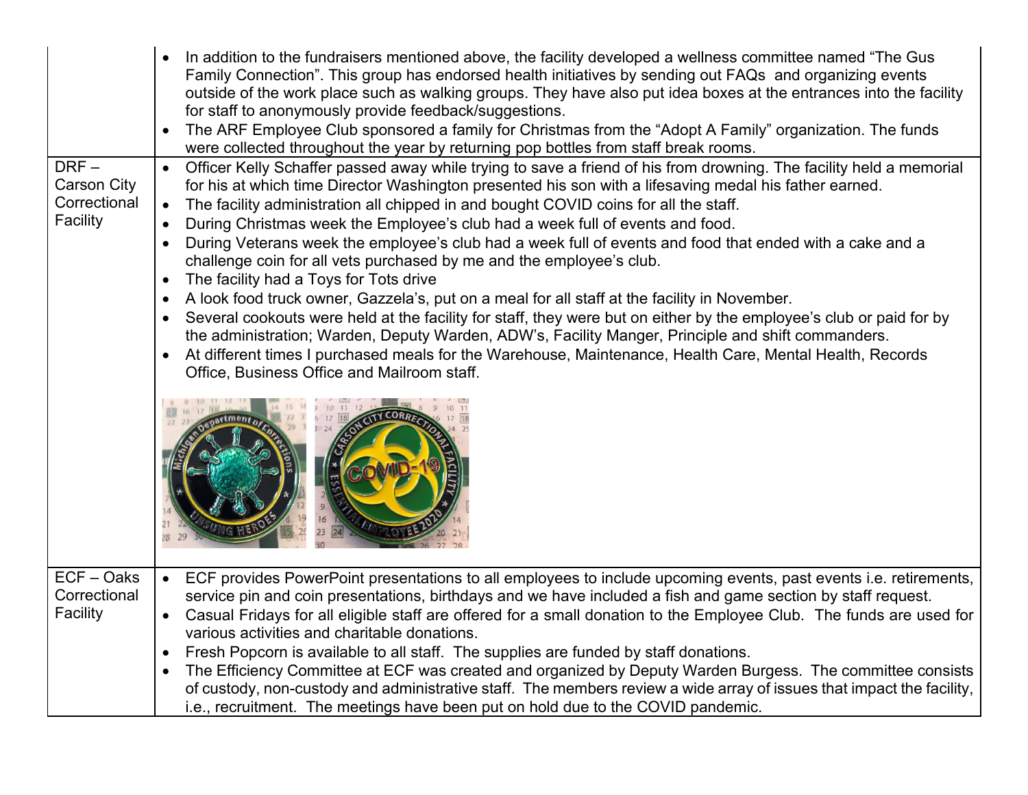|                                                           | In addition to the fundraisers mentioned above, the facility developed a wellness committee named "The Gus<br>Family Connection". This group has endorsed health initiatives by sending out FAQs and organizing events<br>outside of the work place such as walking groups. They have also put idea boxes at the entrances into the facility<br>for staff to anonymously provide feedback/suggestions.<br>The ARF Employee Club sponsored a family for Christmas from the "Adopt A Family" organization. The funds<br>$\bullet$<br>were collected throughout the year by returning pop bottles from staff break rooms.                                                      |
|-----------------------------------------------------------|-----------------------------------------------------------------------------------------------------------------------------------------------------------------------------------------------------------------------------------------------------------------------------------------------------------------------------------------------------------------------------------------------------------------------------------------------------------------------------------------------------------------------------------------------------------------------------------------------------------------------------------------------------------------------------|
| $DRF -$<br><b>Carson City</b><br>Correctional<br>Facility | Officer Kelly Schaffer passed away while trying to save a friend of his from drowning. The facility held a memorial<br>$\bullet$<br>for his at which time Director Washington presented his son with a lifesaving medal his father earned.<br>The facility administration all chipped in and bought COVID coins for all the staff.<br>$\bullet$<br>During Christmas week the Employee's club had a week full of events and food.<br>During Veterans week the employee's club had a week full of events and food that ended with a cake and a<br>challenge coin for all vets purchased by me and the employee's club.<br>The facility had a Toys for Tots drive<br>$\bullet$ |
|                                                           | A look food truck owner, Gazzela's, put on a meal for all staff at the facility in November.<br>$\bullet$<br>Several cookouts were held at the facility for staff, they were but on either by the employee's club or paid for by<br>the administration; Warden, Deputy Warden, ADW's, Facility Manger, Principle and shift commanders.<br>At different times I purchased meals for the Warehouse, Maintenance, Health Care, Mental Health, Records<br>$\bullet$<br>Office, Business Office and Mailroom staff.                                                                                                                                                              |
|                                                           |                                                                                                                                                                                                                                                                                                                                                                                                                                                                                                                                                                                                                                                                             |
| ECF-Oaks<br>Correctional<br>Facility                      | ECF provides PowerPoint presentations to all employees to include upcoming events, past events i.e. retirements,<br>service pin and coin presentations, birthdays and we have included a fish and game section by staff request.<br>Casual Fridays for all eligible staff are offered for a small donation to the Employee Club. The funds are used for<br>$\bullet$<br>various activities and charitable donations.<br>Fresh Popcorn is available to all staff. The supplies are funded by staff donations.<br>$\bullet$<br>The Efficiency Committee at ECF was created and organized by Deputy Warden Burgess. The committee consists<br>$\bullet$                        |
|                                                           | of custody, non-custody and administrative staff. The members review a wide array of issues that impact the facility,<br>i.e., recruitment. The meetings have been put on hold due to the COVID pandemic.                                                                                                                                                                                                                                                                                                                                                                                                                                                                   |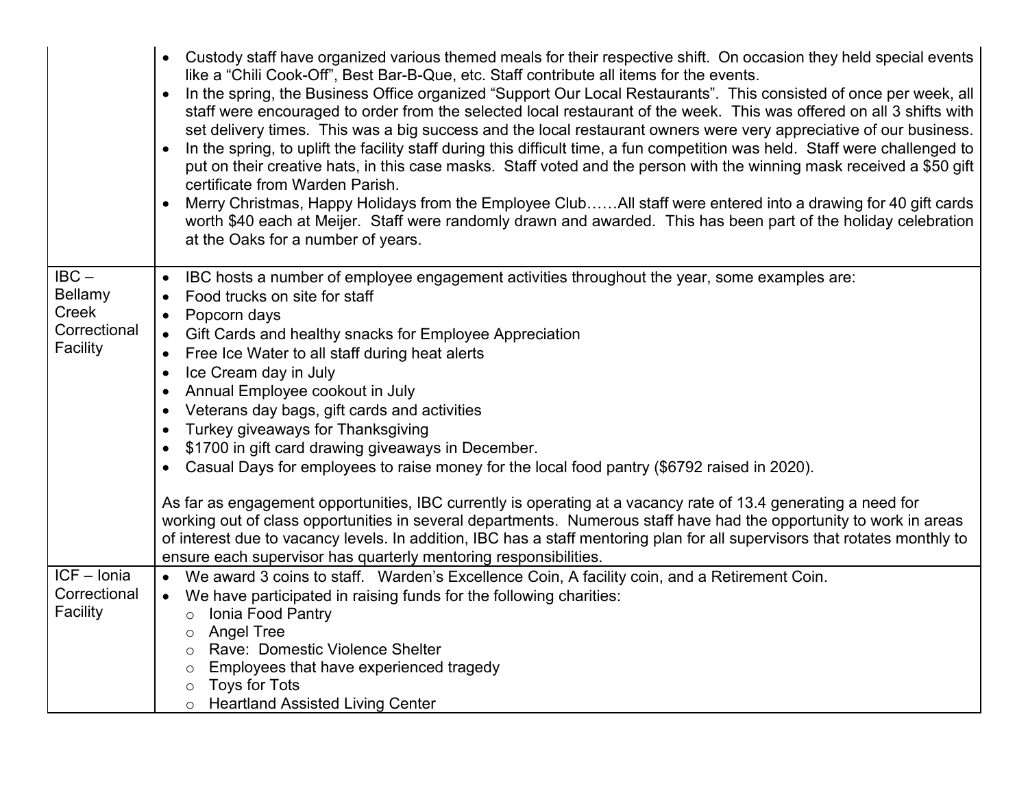|                                                         | • Custody staff have organized various themed meals for their respective shift. On occasion they held special events<br>like a "Chili Cook-Off", Best Bar-B-Que, etc. Staff contribute all items for the events.<br>In the spring, the Business Office organized "Support Our Local Restaurants". This consisted of once per week, all<br>$\bullet$<br>staff were encouraged to order from the selected local restaurant of the week. This was offered on all 3 shifts with<br>set delivery times. This was a big success and the local restaurant owners were very appreciative of our business.<br>In the spring, to uplift the facility staff during this difficult time, a fun competition was held. Staff were challenged to<br>$\bullet$<br>put on their creative hats, in this case masks. Staff voted and the person with the winning mask received a \$50 gift<br>certificate from Warden Parish.<br>Merry Christmas, Happy Holidays from the Employee ClubAll staff were entered into a drawing for 40 gift cards<br>$\bullet$<br>worth \$40 each at Meijer. Staff were randomly drawn and awarded. This has been part of the holiday celebration<br>at the Oaks for a number of years. |
|---------------------------------------------------------|---------------------------------------------------------------------------------------------------------------------------------------------------------------------------------------------------------------------------------------------------------------------------------------------------------------------------------------------------------------------------------------------------------------------------------------------------------------------------------------------------------------------------------------------------------------------------------------------------------------------------------------------------------------------------------------------------------------------------------------------------------------------------------------------------------------------------------------------------------------------------------------------------------------------------------------------------------------------------------------------------------------------------------------------------------------------------------------------------------------------------------------------------------------------------------------------------|
| $IBC -$<br>Bellamy<br>Creek<br>Correctional<br>Facility | IBC hosts a number of employee engagement activities throughout the year, some examples are:<br>$\bullet$<br>Food trucks on site for staff<br>$\bullet$<br>Popcorn days<br>$\bullet$<br>Gift Cards and healthy snacks for Employee Appreciation<br>$\bullet$<br>Free Ice Water to all staff during heat alerts<br>$\bullet$<br>Ice Cream day in July<br>$\bullet$<br>Annual Employee cookout in July<br>$\bullet$<br>Veterans day bags, gift cards and activities<br>$\bullet$<br>Turkey giveaways for Thanksgiving<br>$\bullet$<br>\$1700 in gift card drawing giveaways in December.<br>Casual Days for employees to raise money for the local food pantry (\$6792 raised in 2020).<br>$\bullet$                                                                                                                                                                                                                                                                                                                                                                                                                                                                                                |
|                                                         | As far as engagement opportunities, IBC currently is operating at a vacancy rate of 13.4 generating a need for<br>working out of class opportunities in several departments. Numerous staff have had the opportunity to work in areas<br>of interest due to vacancy levels. In addition, IBC has a staff mentoring plan for all supervisors that rotates monthly to<br>ensure each supervisor has quarterly mentoring responsibilities.                                                                                                                                                                                                                                                                                                                                                                                                                                                                                                                                                                                                                                                                                                                                                           |
| $ICF - Ionia$<br>Correctional                           | We award 3 coins to staff. Warden's Excellence Coin, A facility coin, and a Retirement Coin.<br>We have participated in raising funds for the following charities:                                                                                                                                                                                                                                                                                                                                                                                                                                                                                                                                                                                                                                                                                                                                                                                                                                                                                                                                                                                                                                |
| Facility                                                | Ionia Food Pantry<br>$\circ$                                                                                                                                                                                                                                                                                                                                                                                                                                                                                                                                                                                                                                                                                                                                                                                                                                                                                                                                                                                                                                                                                                                                                                      |
|                                                         | <b>Angel Tree</b><br>$\circ$<br>Rave: Domestic Violence Shelter<br>$\circ$                                                                                                                                                                                                                                                                                                                                                                                                                                                                                                                                                                                                                                                                                                                                                                                                                                                                                                                                                                                                                                                                                                                        |
|                                                         | Employees that have experienced tragedy<br>$\circ$                                                                                                                                                                                                                                                                                                                                                                                                                                                                                                                                                                                                                                                                                                                                                                                                                                                                                                                                                                                                                                                                                                                                                |
|                                                         | <b>Toys for Tots</b><br>$\circ$                                                                                                                                                                                                                                                                                                                                                                                                                                                                                                                                                                                                                                                                                                                                                                                                                                                                                                                                                                                                                                                                                                                                                                   |
|                                                         | <b>Heartland Assisted Living Center</b><br>$\circ$                                                                                                                                                                                                                                                                                                                                                                                                                                                                                                                                                                                                                                                                                                                                                                                                                                                                                                                                                                                                                                                                                                                                                |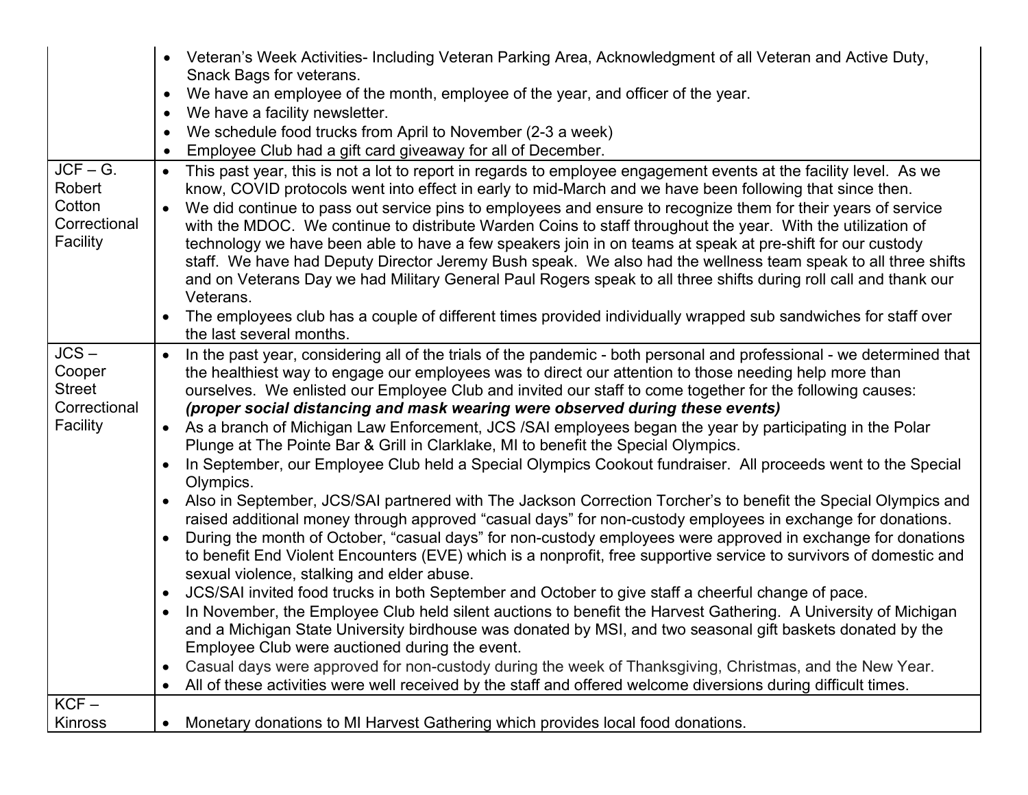|                                                                | Veteran's Week Activities- Including Veteran Parking Area, Acknowledgment of all Veteran and Active Duty,                                                                                                                                                                                                                                                                                                                                                                                                                                                                                                                                                                                                                                                                                                                                                                                                                                                                                                                                                                                                                                                                                                                                                                                                                                                                                                                                                                                                                                                                                                                                                                                                                                                                                                                                                                                                                                                                                                                   |
|----------------------------------------------------------------|-----------------------------------------------------------------------------------------------------------------------------------------------------------------------------------------------------------------------------------------------------------------------------------------------------------------------------------------------------------------------------------------------------------------------------------------------------------------------------------------------------------------------------------------------------------------------------------------------------------------------------------------------------------------------------------------------------------------------------------------------------------------------------------------------------------------------------------------------------------------------------------------------------------------------------------------------------------------------------------------------------------------------------------------------------------------------------------------------------------------------------------------------------------------------------------------------------------------------------------------------------------------------------------------------------------------------------------------------------------------------------------------------------------------------------------------------------------------------------------------------------------------------------------------------------------------------------------------------------------------------------------------------------------------------------------------------------------------------------------------------------------------------------------------------------------------------------------------------------------------------------------------------------------------------------------------------------------------------------------------------------------------------------|
|                                                                | Snack Bags for veterans.                                                                                                                                                                                                                                                                                                                                                                                                                                                                                                                                                                                                                                                                                                                                                                                                                                                                                                                                                                                                                                                                                                                                                                                                                                                                                                                                                                                                                                                                                                                                                                                                                                                                                                                                                                                                                                                                                                                                                                                                    |
|                                                                | We have an employee of the month, employee of the year, and officer of the year.<br>$\bullet$                                                                                                                                                                                                                                                                                                                                                                                                                                                                                                                                                                                                                                                                                                                                                                                                                                                                                                                                                                                                                                                                                                                                                                                                                                                                                                                                                                                                                                                                                                                                                                                                                                                                                                                                                                                                                                                                                                                               |
|                                                                | We have a facility newsletter.<br>$\bullet$                                                                                                                                                                                                                                                                                                                                                                                                                                                                                                                                                                                                                                                                                                                                                                                                                                                                                                                                                                                                                                                                                                                                                                                                                                                                                                                                                                                                                                                                                                                                                                                                                                                                                                                                                                                                                                                                                                                                                                                 |
|                                                                | We schedule food trucks from April to November (2-3 a week)<br>$\bullet$                                                                                                                                                                                                                                                                                                                                                                                                                                                                                                                                                                                                                                                                                                                                                                                                                                                                                                                                                                                                                                                                                                                                                                                                                                                                                                                                                                                                                                                                                                                                                                                                                                                                                                                                                                                                                                                                                                                                                    |
|                                                                | Employee Club had a gift card giveaway for all of December.                                                                                                                                                                                                                                                                                                                                                                                                                                                                                                                                                                                                                                                                                                                                                                                                                                                                                                                                                                                                                                                                                                                                                                                                                                                                                                                                                                                                                                                                                                                                                                                                                                                                                                                                                                                                                                                                                                                                                                 |
| $JCF - G.$<br>Robert<br>Cotton<br>Correctional<br>Facility     | This past year, this is not a lot to report in regards to employee engagement events at the facility level. As we<br>$\bullet$<br>know, COVID protocols went into effect in early to mid-March and we have been following that since then.<br>We did continue to pass out service pins to employees and ensure to recognize them for their years of service<br>$\bullet$<br>with the MDOC. We continue to distribute Warden Coins to staff throughout the year. With the utilization of<br>technology we have been able to have a few speakers join in on teams at speak at pre-shift for our custody<br>staff. We have had Deputy Director Jeremy Bush speak. We also had the wellness team speak to all three shifts<br>and on Veterans Day we had Military General Paul Rogers speak to all three shifts during roll call and thank our<br>Veterans.<br>The employees club has a couple of different times provided individually wrapped sub sandwiches for staff over<br>$\bullet$<br>the last several months.                                                                                                                                                                                                                                                                                                                                                                                                                                                                                                                                                                                                                                                                                                                                                                                                                                                                                                                                                                                                          |
| $JCS -$<br>Cooper<br><b>Street</b><br>Correctional<br>Facility | In the past year, considering all of the trials of the pandemic - both personal and professional - we determined that<br>$\bullet$<br>the healthiest way to engage our employees was to direct our attention to those needing help more than<br>ourselves. We enlisted our Employee Club and invited our staff to come together for the following causes:<br>(proper social distancing and mask wearing were observed during these events)<br>As a branch of Michigan Law Enforcement, JCS /SAI employees began the year by participating in the Polar<br>$\bullet$<br>Plunge at The Pointe Bar & Grill in Clarklake, MI to benefit the Special Olympics.<br>In September, our Employee Club held a Special Olympics Cookout fundraiser. All proceeds went to the Special<br>$\bullet$<br>Olympics.<br>Also in September, JCS/SAI partnered with The Jackson Correction Torcher's to benefit the Special Olympics and<br>$\bullet$<br>raised additional money through approved "casual days" for non-custody employees in exchange for donations.<br>During the month of October, "casual days" for non-custody employees were approved in exchange for donations<br>$\bullet$<br>to benefit End Violent Encounters (EVE) which is a nonprofit, free supportive service to survivors of domestic and<br>sexual violence, stalking and elder abuse.<br>JCS/SAI invited food trucks in both September and October to give staff a cheerful change of pace.<br>$\bullet$<br>In November, the Employee Club held silent auctions to benefit the Harvest Gathering. A University of Michigan<br>$\bullet$<br>and a Michigan State University birdhouse was donated by MSI, and two seasonal gift baskets donated by the<br>Employee Club were auctioned during the event.<br>Casual days were approved for non-custody during the week of Thanksgiving, Christmas, and the New Year.<br>$\bullet$<br>All of these activities were well received by the staff and offered welcome diversions during difficult times.<br>$\bullet$ |
| $KCF -$                                                        |                                                                                                                                                                                                                                                                                                                                                                                                                                                                                                                                                                                                                                                                                                                                                                                                                                                                                                                                                                                                                                                                                                                                                                                                                                                                                                                                                                                                                                                                                                                                                                                                                                                                                                                                                                                                                                                                                                                                                                                                                             |
| Kinross                                                        | Monetary donations to MI Harvest Gathering which provides local food donations.<br>$\bullet$                                                                                                                                                                                                                                                                                                                                                                                                                                                                                                                                                                                                                                                                                                                                                                                                                                                                                                                                                                                                                                                                                                                                                                                                                                                                                                                                                                                                                                                                                                                                                                                                                                                                                                                                                                                                                                                                                                                                |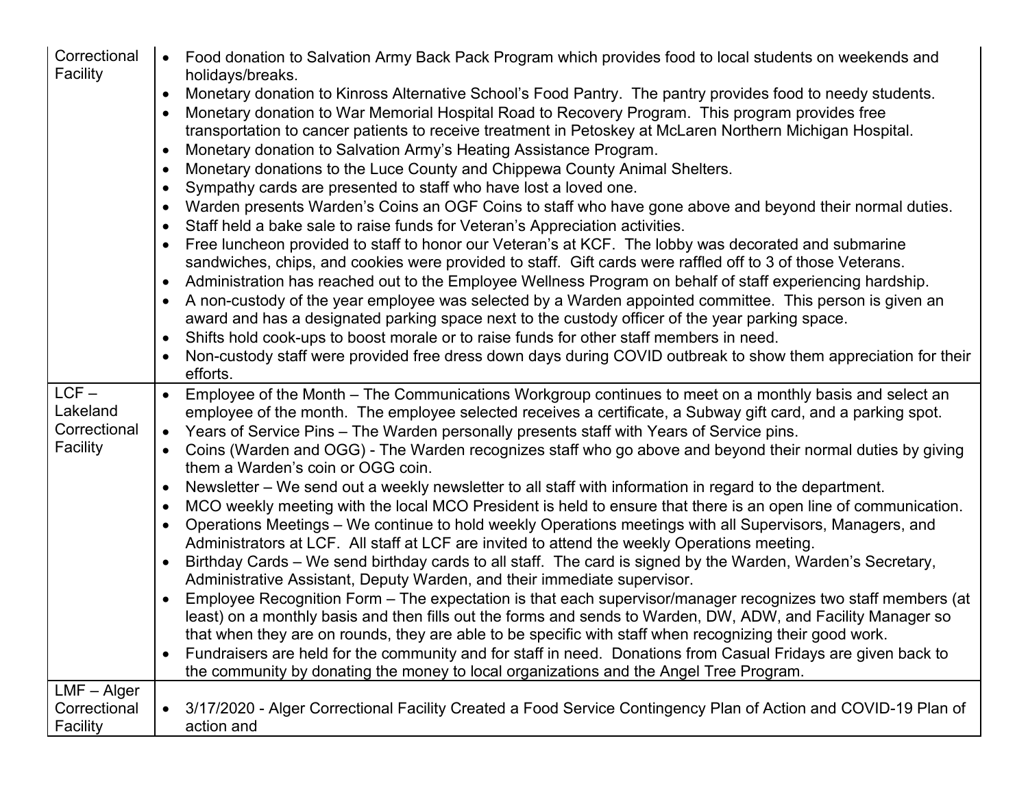| Correctional<br>Facility | Food donation to Salvation Army Back Pack Program which provides food to local students on weekends and<br>$\bullet$                            |
|--------------------------|-------------------------------------------------------------------------------------------------------------------------------------------------|
|                          | holidays/breaks.<br>Monetary donation to Kinross Alternative School's Food Pantry. The pantry provides food to needy students.                  |
|                          | Monetary donation to War Memorial Hospital Road to Recovery Program. This program provides free                                                 |
|                          | transportation to cancer patients to receive treatment in Petoskey at McLaren Northern Michigan Hospital.                                       |
|                          | Monetary donation to Salvation Army's Heating Assistance Program.                                                                               |
|                          | Monetary donations to the Luce County and Chippewa County Animal Shelters.                                                                      |
|                          | Sympathy cards are presented to staff who have lost a loved one.<br>$\bullet$                                                                   |
|                          | Warden presents Warden's Coins an OGF Coins to staff who have gone above and beyond their normal duties.                                        |
|                          | Staff held a bake sale to raise funds for Veteran's Appreciation activities.                                                                    |
|                          | Free luncheon provided to staff to honor our Veteran's at KCF. The lobby was decorated and submarine                                            |
|                          | sandwiches, chips, and cookies were provided to staff. Gift cards were raffled off to 3 of those Veterans.                                      |
|                          | Administration has reached out to the Employee Wellness Program on behalf of staff experiencing hardship.<br>$\bullet$                          |
|                          | • A non-custody of the year employee was selected by a Warden appointed committee. This person is given an                                      |
|                          | award and has a designated parking space next to the custody officer of the year parking space.                                                 |
|                          | Shifts hold cook-ups to boost morale or to raise funds for other staff members in need.<br>$\bullet$                                            |
|                          | Non-custody staff were provided free dress down days during COVID outbreak to show them appreciation for their                                  |
|                          | efforts.                                                                                                                                        |
| $LCF -$                  | • Employee of the Month – The Communications Workgroup continues to meet on a monthly basis and select an                                       |
| Lakeland                 | employee of the month. The employee selected receives a certificate, a Subway gift card, and a parking spot.                                    |
| Correctional<br>Facility | Years of Service Pins - The Warden personally presents staff with Years of Service pins.<br>$\bullet$                                           |
|                          | Coins (Warden and OGG) - The Warden recognizes staff who go above and beyond their normal duties by giving<br>them a Warden's coin or OGG coin. |
|                          | Newsletter – We send out a weekly newsletter to all staff with information in regard to the department.                                         |
|                          | MCO weekly meeting with the local MCO President is held to ensure that there is an open line of communication.                                  |
|                          | Operations Meetings - We continue to hold weekly Operations meetings with all Supervisors, Managers, and                                        |
|                          | Administrators at LCF. All staff at LCF are invited to attend the weekly Operations meeting.                                                    |
|                          | Birthday Cards – We send birthday cards to all staff. The card is signed by the Warden, Warden's Secretary,                                     |
|                          | Administrative Assistant, Deputy Warden, and their immediate supervisor.                                                                        |
|                          | Employee Recognition Form - The expectation is that each supervisor/manager recognizes two staff members (at                                    |
|                          | least) on a monthly basis and then fills out the forms and sends to Warden, DW, ADW, and Facility Manager so                                    |
|                          | that when they are on rounds, they are able to be specific with staff when recognizing their good work.                                         |
|                          | Fundraisers are held for the community and for staff in need. Donations from Casual Fridays are given back to<br>$\bullet$                      |
|                          | the community by donating the money to local organizations and the Angel Tree Program.                                                          |
| $LMF - Alger$            |                                                                                                                                                 |
| Correctional             | 3/17/2020 - Alger Correctional Facility Created a Food Service Contingency Plan of Action and COVID-19 Plan of<br>$\bullet$                     |
| Facility                 | action and                                                                                                                                      |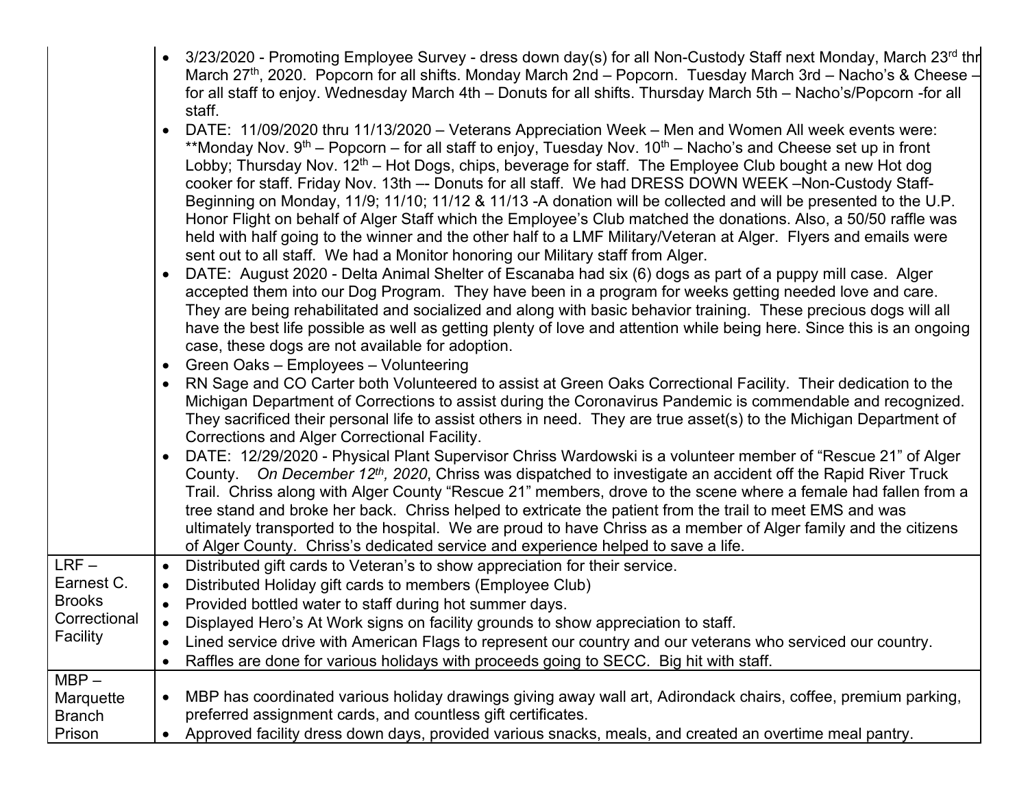- 3/23/2020 Promoting Employee Survey dress down day(s) for all Non-Custody Staff next Monday, March 23<sup>rd</sup> thr March 27<sup>th</sup>, 2020. Popcorn for all shifts. Monday March 2nd – Popcorn. Tuesday March 3rd – Nacho's & Cheese for all staff to enjoy. Wednesday March 4th – Donuts for all shifts. Thursday March 5th – Nacho's/Popcorn -for all staff.
- DATE: 11/09/2020 thru 11/13/2020 Veterans Appreciation Week Men and Women All week events were: \*\*Monday Nov.  $9^{th}$  – Popcorn – for all staff to enjoy, Tuesday Nov.  $10^{th}$  – Nacho's and Cheese set up in front Lobby; Thursday Nov.  $12<sup>th</sup>$  – Hot Dogs, chips, beverage for staff. The Employee Club bought a new Hot dog cooker for staff. Friday Nov. 13th –- Donuts for all staff. We had DRESS DOWN WEEK –Non-Custody Staff-Beginning on Monday, 11/9; 11/10; 11/12 & 11/13 -A donation will be collected and will be presented to the U.P. Honor Flight on behalf of Alger Staff which the Employee's Club matched the donations. Also, a 50/50 raffle was held with half going to the winner and the other half to a LMF Military/Veteran at Alger. Flyers and emails were sent out to all staff. We had a Monitor honoring our Military staff from Alger.
- DATE: August 2020 Delta Animal Shelter of Escanaba had six (6) dogs as part of a puppy mill case. Alger accepted them into our Dog Program. They have been in a program for weeks getting needed love and care. They are being rehabilitated and socialized and along with basic behavior training. These precious dogs will all have the best life possible as well as getting plenty of love and attention while being here. Since this is an ongoing case, these dogs are not available for adoption.
- Green Oaks Employees Volunteering
- RN Sage and CO Carter both Volunteered to assist at Green Oaks Correctional Facility. Their dedication to the Michigan Department of Corrections to assist during the Coronavirus Pandemic is commendable and recognized. They sacrificed their personal life to assist others in need. They are true asset(s) to the Michigan Department of Corrections and Alger Correctional Facility.
- DATE: 12/29/2020 Physical Plant Supervisor Chriss Wardowski is a volunteer member of "Rescue 21" of Alger County. *On December 12th, 2020*, Chriss was dispatched to investigate an accident off the Rapid River Truck Trail. Chriss along with Alger County "Rescue 21" members, drove to the scene where a female had fallen from a tree stand and broke her back. Chriss helped to extricate the patient from the trail to meet EMS and was ultimately transported to the hospital. We are proud to have Chriss as a member of Alger family and the citizens of Alger County. Chriss's dedicated service and experience helped to save a life. • Distributed gift cards to Veteran's to show appreciation for their service.
- Earnest C. • Distributed Holiday gift cards to members (Employee Club)
- **Brooks** • Provided bottled water to staff during hot summer days.

 $LRF -$ 

- **Correctional** • Displayed Hero's At Work signs on facility grounds to show appreciation to staff.
- Facility • Lined service drive with American Flags to represent our country and our veterans who serviced our country.
	- Raffles are done for various holidays with proceeds going to SECC. Big hit with staff.
- $MBP -$ **Marquette** Branch Prison • MBP has coordinated various holiday drawings giving away wall art, Adirondack chairs, coffee, premium parking, preferred assignment cards, and countless gift certificates. • Approved facility dress down days, provided various snacks, meals, and created an overtime meal pantry.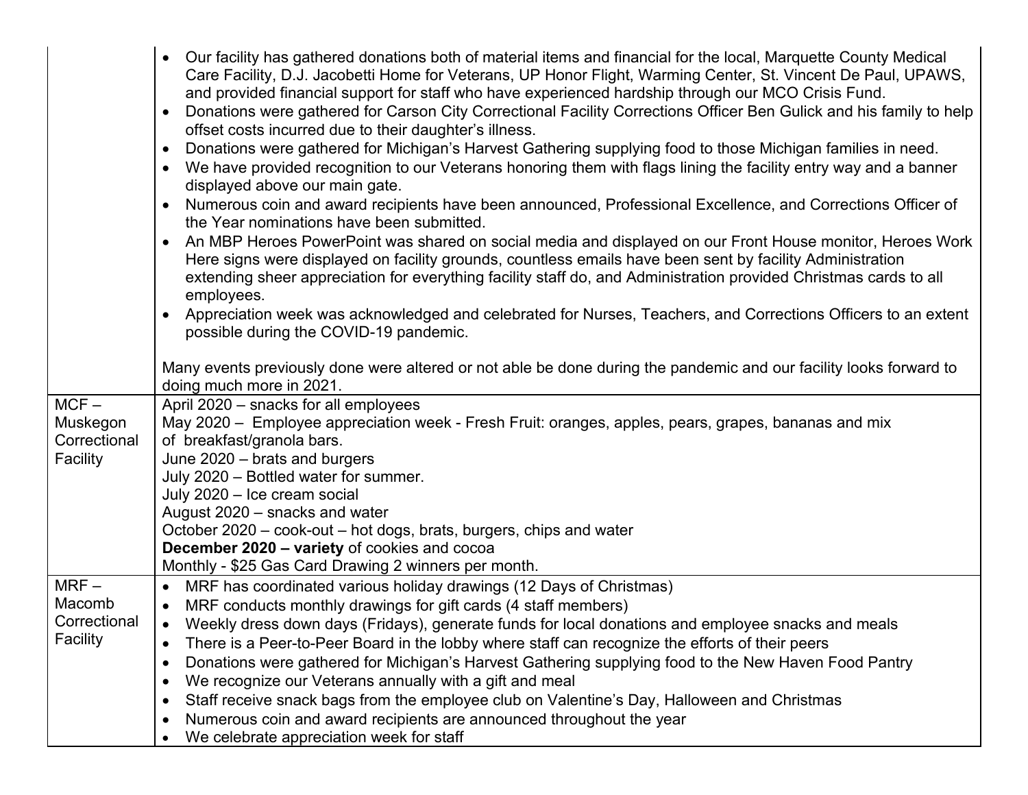|              | Our facility has gathered donations both of material items and financial for the local, Marquette County Medical<br>Care Facility, D.J. Jacobetti Home for Veterans, UP Honor Flight, Warming Center, St. Vincent De Paul, UPAWS,<br>and provided financial support for staff who have experienced hardship through our MCO Crisis Fund.<br>Donations were gathered for Carson City Correctional Facility Corrections Officer Ben Gulick and his family to help<br>$\bullet$<br>offset costs incurred due to their daughter's illness.<br>Donations were gathered for Michigan's Harvest Gathering supplying food to those Michigan families in need.<br>$\bullet$<br>We have provided recognition to our Veterans honoring them with flags lining the facility entry way and a banner<br>$\bullet$<br>displayed above our main gate.<br>Numerous coin and award recipients have been announced, Professional Excellence, and Corrections Officer of<br>the Year nominations have been submitted.<br>An MBP Heroes PowerPoint was shared on social media and displayed on our Front House monitor, Heroes Work<br>Here signs were displayed on facility grounds, countless emails have been sent by facility Administration<br>extending sheer appreciation for everything facility staff do, and Administration provided Christmas cards to all<br>employees.<br>Appreciation week was acknowledged and celebrated for Nurses, Teachers, and Corrections Officers to an extent<br>possible during the COVID-19 pandemic.<br>Many events previously done were altered or not able be done during the pandemic and our facility looks forward to<br>doing much more in 2021. |
|--------------|-----------------------------------------------------------------------------------------------------------------------------------------------------------------------------------------------------------------------------------------------------------------------------------------------------------------------------------------------------------------------------------------------------------------------------------------------------------------------------------------------------------------------------------------------------------------------------------------------------------------------------------------------------------------------------------------------------------------------------------------------------------------------------------------------------------------------------------------------------------------------------------------------------------------------------------------------------------------------------------------------------------------------------------------------------------------------------------------------------------------------------------------------------------------------------------------------------------------------------------------------------------------------------------------------------------------------------------------------------------------------------------------------------------------------------------------------------------------------------------------------------------------------------------------------------------------------------------------------------------------------------------------------------------------------------|
| $MCF -$      | April 2020 - snacks for all employees                                                                                                                                                                                                                                                                                                                                                                                                                                                                                                                                                                                                                                                                                                                                                                                                                                                                                                                                                                                                                                                                                                                                                                                                                                                                                                                                                                                                                                                                                                                                                                                                                                       |
| Muskegon     | May 2020 – Employee appreciation week - Fresh Fruit: oranges, apples, pears, grapes, bananas and mix                                                                                                                                                                                                                                                                                                                                                                                                                                                                                                                                                                                                                                                                                                                                                                                                                                                                                                                                                                                                                                                                                                                                                                                                                                                                                                                                                                                                                                                                                                                                                                        |
| Correctional | of breakfast/granola bars.                                                                                                                                                                                                                                                                                                                                                                                                                                                                                                                                                                                                                                                                                                                                                                                                                                                                                                                                                                                                                                                                                                                                                                                                                                                                                                                                                                                                                                                                                                                                                                                                                                                  |
| Facility     | June 2020 - brats and burgers                                                                                                                                                                                                                                                                                                                                                                                                                                                                                                                                                                                                                                                                                                                                                                                                                                                                                                                                                                                                                                                                                                                                                                                                                                                                                                                                                                                                                                                                                                                                                                                                                                               |
|              | July 2020 - Bottled water for summer.                                                                                                                                                                                                                                                                                                                                                                                                                                                                                                                                                                                                                                                                                                                                                                                                                                                                                                                                                                                                                                                                                                                                                                                                                                                                                                                                                                                                                                                                                                                                                                                                                                       |
|              | July 2020 - Ice cream social                                                                                                                                                                                                                                                                                                                                                                                                                                                                                                                                                                                                                                                                                                                                                                                                                                                                                                                                                                                                                                                                                                                                                                                                                                                                                                                                                                                                                                                                                                                                                                                                                                                |
|              | August 2020 – snacks and water                                                                                                                                                                                                                                                                                                                                                                                                                                                                                                                                                                                                                                                                                                                                                                                                                                                                                                                                                                                                                                                                                                                                                                                                                                                                                                                                                                                                                                                                                                                                                                                                                                              |
|              | October 2020 – cook-out – hot dogs, brats, burgers, chips and water                                                                                                                                                                                                                                                                                                                                                                                                                                                                                                                                                                                                                                                                                                                                                                                                                                                                                                                                                                                                                                                                                                                                                                                                                                                                                                                                                                                                                                                                                                                                                                                                         |
|              | December 2020 - variety of cookies and cocoa                                                                                                                                                                                                                                                                                                                                                                                                                                                                                                                                                                                                                                                                                                                                                                                                                                                                                                                                                                                                                                                                                                                                                                                                                                                                                                                                                                                                                                                                                                                                                                                                                                |
|              | Monthly - \$25 Gas Card Drawing 2 winners per month.                                                                                                                                                                                                                                                                                                                                                                                                                                                                                                                                                                                                                                                                                                                                                                                                                                                                                                                                                                                                                                                                                                                                                                                                                                                                                                                                                                                                                                                                                                                                                                                                                        |
| $MRF -$      | MRF has coordinated various holiday drawings (12 Days of Christmas)<br>$\bullet$                                                                                                                                                                                                                                                                                                                                                                                                                                                                                                                                                                                                                                                                                                                                                                                                                                                                                                                                                                                                                                                                                                                                                                                                                                                                                                                                                                                                                                                                                                                                                                                            |
| Macomb       | MRF conducts monthly drawings for gift cards (4 staff members)                                                                                                                                                                                                                                                                                                                                                                                                                                                                                                                                                                                                                                                                                                                                                                                                                                                                                                                                                                                                                                                                                                                                                                                                                                                                                                                                                                                                                                                                                                                                                                                                              |
| Correctional | Weekly dress down days (Fridays), generate funds for local donations and employee snacks and meals<br>$\bullet$                                                                                                                                                                                                                                                                                                                                                                                                                                                                                                                                                                                                                                                                                                                                                                                                                                                                                                                                                                                                                                                                                                                                                                                                                                                                                                                                                                                                                                                                                                                                                             |
| Facility     | There is a Peer-to-Peer Board in the lobby where staff can recognize the efforts of their peers<br>$\bullet$                                                                                                                                                                                                                                                                                                                                                                                                                                                                                                                                                                                                                                                                                                                                                                                                                                                                                                                                                                                                                                                                                                                                                                                                                                                                                                                                                                                                                                                                                                                                                                |
|              | Donations were gathered for Michigan's Harvest Gathering supplying food to the New Haven Food Pantry<br>$\bullet$                                                                                                                                                                                                                                                                                                                                                                                                                                                                                                                                                                                                                                                                                                                                                                                                                                                                                                                                                                                                                                                                                                                                                                                                                                                                                                                                                                                                                                                                                                                                                           |
|              | We recognize our Veterans annually with a gift and meal<br>$\bullet$                                                                                                                                                                                                                                                                                                                                                                                                                                                                                                                                                                                                                                                                                                                                                                                                                                                                                                                                                                                                                                                                                                                                                                                                                                                                                                                                                                                                                                                                                                                                                                                                        |
|              | Staff receive snack bags from the employee club on Valentine's Day, Halloween and Christmas<br>$\bullet$                                                                                                                                                                                                                                                                                                                                                                                                                                                                                                                                                                                                                                                                                                                                                                                                                                                                                                                                                                                                                                                                                                                                                                                                                                                                                                                                                                                                                                                                                                                                                                    |
|              | Numerous coin and award recipients are announced throughout the year<br>$\bullet$                                                                                                                                                                                                                                                                                                                                                                                                                                                                                                                                                                                                                                                                                                                                                                                                                                                                                                                                                                                                                                                                                                                                                                                                                                                                                                                                                                                                                                                                                                                                                                                           |
|              | We celebrate appreciation week for staff<br>$\bullet$                                                                                                                                                                                                                                                                                                                                                                                                                                                                                                                                                                                                                                                                                                                                                                                                                                                                                                                                                                                                                                                                                                                                                                                                                                                                                                                                                                                                                                                                                                                                                                                                                       |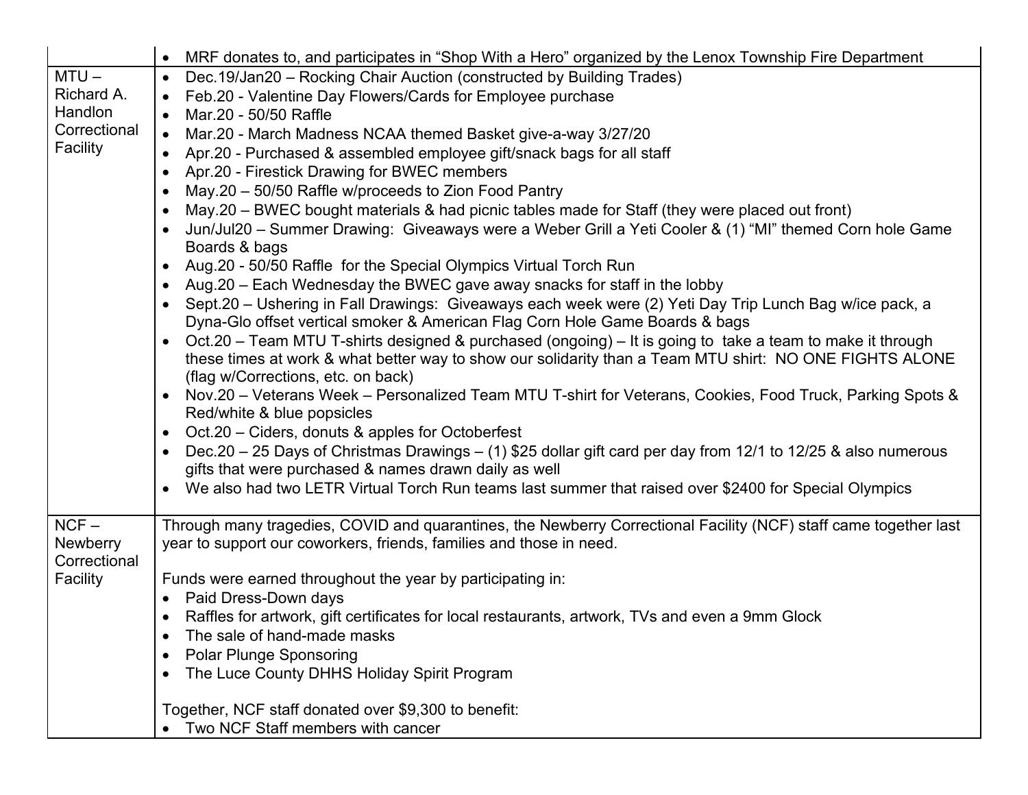|                                     | MRF donates to, and participates in "Shop With a Hero" organized by the Lenox Township Fire Department                                                                                                                                                                  |
|-------------------------------------|-------------------------------------------------------------------------------------------------------------------------------------------------------------------------------------------------------------------------------------------------------------------------|
| $MTU -$                             | Dec.19/Jan20 - Rocking Chair Auction (constructed by Building Trades)<br>$\bullet$                                                                                                                                                                                      |
| Richard A.                          | Feb.20 - Valentine Day Flowers/Cards for Employee purchase                                                                                                                                                                                                              |
| Handlon                             | Mar.20 - 50/50 Raffle<br>$\bullet$                                                                                                                                                                                                                                      |
| Correctional                        | Mar.20 - March Madness NCAA themed Basket give-a-way 3/27/20                                                                                                                                                                                                            |
| Facility                            | Apr.20 - Purchased & assembled employee gift/snack bags for all staff                                                                                                                                                                                                   |
|                                     | Apr.20 - Firestick Drawing for BWEC members                                                                                                                                                                                                                             |
|                                     | May.20 - 50/50 Raffle w/proceeds to Zion Food Pantry<br>$\bullet$                                                                                                                                                                                                       |
|                                     | May.20 – BWEC bought materials & had picnic tables made for Staff (they were placed out front)                                                                                                                                                                          |
|                                     | Jun/Jul20 - Summer Drawing: Giveaways were a Weber Grill a Yeti Cooler & (1) "MI" themed Corn hole Game<br>Boards & bags                                                                                                                                                |
|                                     | Aug.20 - 50/50 Raffle for the Special Olympics Virtual Torch Run                                                                                                                                                                                                        |
|                                     | Aug.20 – Each Wednesday the BWEC gave away snacks for staff in the lobby                                                                                                                                                                                                |
|                                     | Sept.20 - Ushering in Fall Drawings: Giveaways each week were (2) Yeti Day Trip Lunch Bag w/ice pack, a<br>Dyna-Glo offset vertical smoker & American Flag Corn Hole Game Boards & bags                                                                                 |
|                                     | Oct.20 – Team MTU T-shirts designed & purchased (ongoing) – It is going to take a team to make it through<br>$\bullet$<br>these times at work & what better way to show our solidarity than a Team MTU shirt: NO ONE FIGHTS ALONE<br>(flag w/Corrections, etc. on back) |
|                                     | Nov.20 - Veterans Week - Personalized Team MTU T-shirt for Veterans, Cookies, Food Truck, Parking Spots &<br>Red/white & blue popsicles                                                                                                                                 |
|                                     | Oct.20 – Ciders, donuts & apples for Octoberfest<br>$\bullet$                                                                                                                                                                                                           |
|                                     | Dec.20 - 25 Days of Christmas Drawings - (1) \$25 dollar gift card per day from 12/1 to 12/25 & also numerous<br>gifts that were purchased & names drawn daily as well                                                                                                  |
|                                     | We also had two LETR Virtual Torch Run teams last summer that raised over \$2400 for Special Olympics                                                                                                                                                                   |
| $NCF -$<br>Newberry<br>Correctional | Through many tragedies, COVID and quarantines, the Newberry Correctional Facility (NCF) staff came together last<br>year to support our coworkers, friends, families and those in need.                                                                                 |
| Facility                            | Funds were earned throughout the year by participating in:                                                                                                                                                                                                              |
|                                     | Paid Dress-Down days<br>$\bullet$                                                                                                                                                                                                                                       |
|                                     | Raffles for artwork, gift certificates for local restaurants, artwork, TVs and even a 9mm Glock                                                                                                                                                                         |
|                                     | The sale of hand-made masks                                                                                                                                                                                                                                             |
|                                     | <b>Polar Plunge Sponsoring</b>                                                                                                                                                                                                                                          |
|                                     | The Luce County DHHS Holiday Spirit Program                                                                                                                                                                                                                             |
|                                     | Together, NCF staff donated over \$9,300 to benefit:                                                                                                                                                                                                                    |
|                                     | Two NCF Staff members with cancer                                                                                                                                                                                                                                       |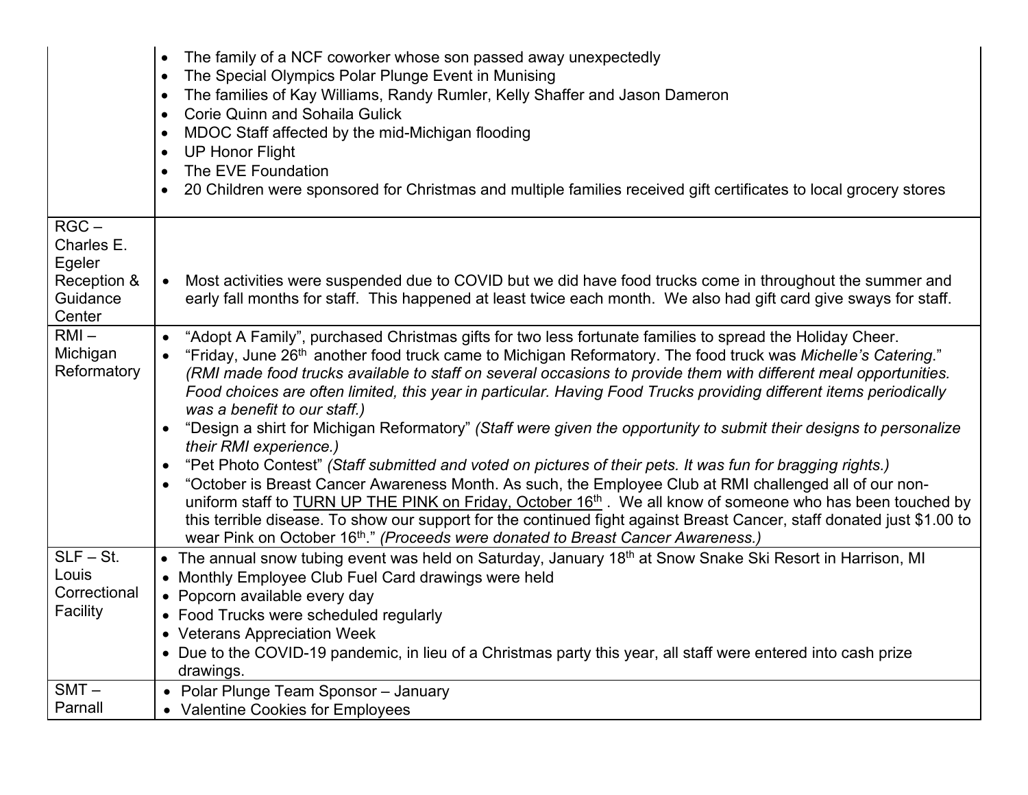|                         | The family of a NCF coworker whose son passed away unexpectedly<br>$\bullet$                                                      |
|-------------------------|-----------------------------------------------------------------------------------------------------------------------------------|
|                         | The Special Olympics Polar Plunge Event in Munising<br>$\bullet$                                                                  |
|                         | The families of Kay Williams, Randy Rumler, Kelly Shaffer and Jason Dameron<br>$\bullet$                                          |
|                         | Corie Quinn and Sohaila Gulick<br>$\bullet$                                                                                       |
|                         | MDOC Staff affected by the mid-Michigan flooding<br>$\bullet$                                                                     |
|                         | <b>UP Honor Flight</b><br>$\bullet$                                                                                               |
|                         | The EVE Foundation<br>$\bullet$                                                                                                   |
|                         | 20 Children were sponsored for Christmas and multiple families received gift certificates to local grocery stores<br>$\bullet$    |
| $RGC -$                 |                                                                                                                                   |
| Charles E.              |                                                                                                                                   |
| Egeler                  |                                                                                                                                   |
| Reception &<br>Guidance | Most activities were suspended due to COVID but we did have food trucks come in throughout the summer and<br>$\bullet$            |
| Center                  | early fall months for staff. This happened at least twice each month. We also had gift card give sways for staff.                 |
| $RMI -$                 | "Adopt A Family", purchased Christmas gifts for two less fortunate families to spread the Holiday Cheer.<br>$\bullet$             |
| Michigan                | "Friday, June 26 <sup>th</sup> another food truck came to Michigan Reformatory. The food truck was Michelle's Catering."          |
| Reformatory             | (RMI made food trucks available to staff on several occasions to provide them with different meal opportunities.                  |
|                         | Food choices are often limited, this year in particular. Having Food Trucks providing different items periodically                |
|                         | was a benefit to our staff.)                                                                                                      |
|                         | "Design a shirt for Michigan Reformatory" (Staff were given the opportunity to submit their designs to personalize<br>$\bullet$   |
|                         | their RMI experience.)                                                                                                            |
|                         | "Pet Photo Contest" (Staff submitted and voted on pictures of their pets. It was fun for bragging rights.)<br>$\bullet$           |
|                         | "October is Breast Cancer Awareness Month. As such, the Employee Club at RMI challenged all of our non-<br>$\bullet$              |
|                         | uniform staff to TURN UP THE PINK on Friday, October 16 <sup>th</sup> . We all know of someone who has been touched by            |
|                         | this terrible disease. To show our support for the continued fight against Breast Cancer, staff donated just \$1.00 to            |
|                         | wear Pink on October 16th." (Proceeds were donated to Breast Cancer Awareness.)                                                   |
| $SLF - St.$             | The annual snow tubing event was held on Saturday, January 18 <sup>th</sup> at Snow Snake Ski Resort in Harrison, MI<br>$\bullet$ |
| Louis                   | • Monthly Employee Club Fuel Card drawings were held                                                                              |
| Correctional            | • Popcorn available every day                                                                                                     |
| Facility                | • Food Trucks were scheduled regularly                                                                                            |
|                         | • Veterans Appreciation Week                                                                                                      |
|                         | • Due to the COVID-19 pandemic, in lieu of a Christmas party this year, all staff were entered into cash prize                    |
|                         | drawings.                                                                                                                         |
| $SMT -$                 | • Polar Plunge Team Sponsor - January                                                                                             |
| Parnall                 | • Valentine Cookies for Employees                                                                                                 |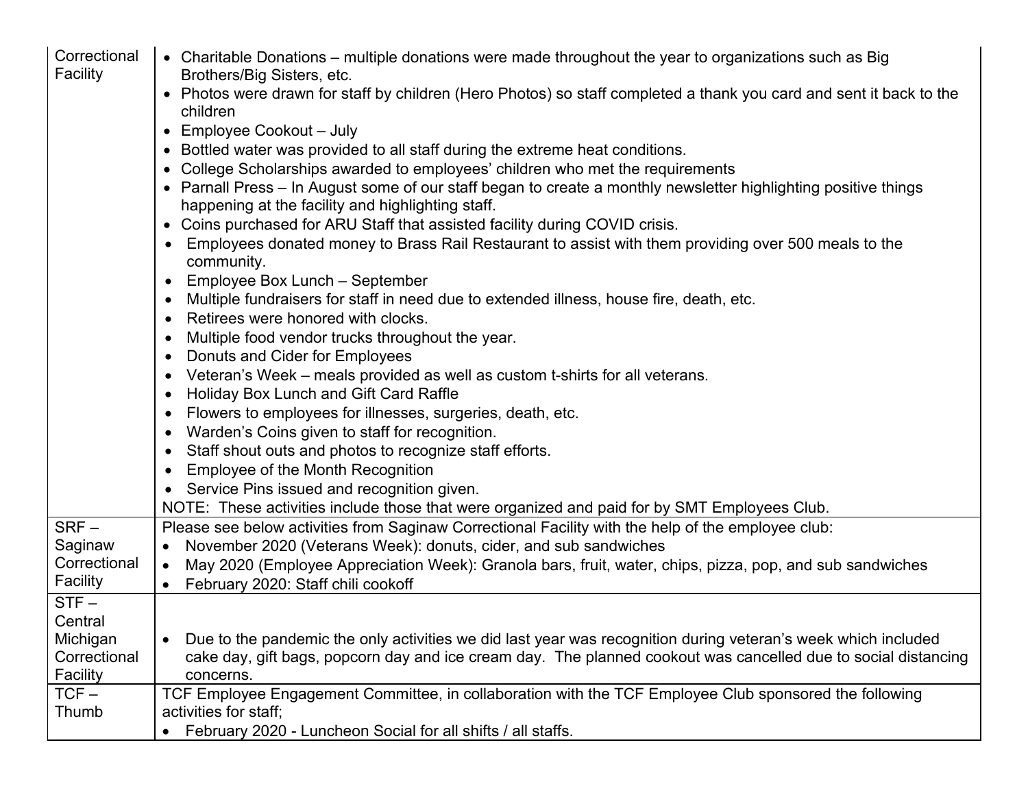| Correctional<br>Facility | • Charitable Donations – multiple donations were made throughout the year to organizations such as Big<br>Brothers/Big Sisters, etc. |
|--------------------------|--------------------------------------------------------------------------------------------------------------------------------------|
|                          | • Photos were drawn for staff by children (Hero Photos) so staff completed a thank you card and sent it back to the                  |
|                          | children                                                                                                                             |
|                          | • Employee Cookout - July                                                                                                            |
|                          | • Bottled water was provided to all staff during the extreme heat conditions.                                                        |
|                          | College Scholarships awarded to employees' children who met the requirements                                                         |
|                          | • Parnall Press - In August some of our staff began to create a monthly newsletter highlighting positive things                      |
|                          | happening at the facility and highlighting staff.                                                                                    |
|                          | • Coins purchased for ARU Staff that assisted facility during COVID crisis.                                                          |
|                          | Employees donated money to Brass Rail Restaurant to assist with them providing over 500 meals to the                                 |
|                          | community.<br>Employee Box Lunch - September<br>$\bullet$                                                                            |
|                          | Multiple fundraisers for staff in need due to extended illness, house fire, death, etc.<br>$\bullet$                                 |
|                          | Retirees were honored with clocks.                                                                                                   |
|                          | Multiple food vendor trucks throughout the year.<br>$\bullet$                                                                        |
|                          | Donuts and Cider for Employees<br>$\bullet$                                                                                          |
|                          | Veteran's Week - meals provided as well as custom t-shirts for all veterans.<br>$\bullet$                                            |
|                          | Holiday Box Lunch and Gift Card Raffle                                                                                               |
|                          | Flowers to employees for illnesses, surgeries, death, etc.                                                                           |
|                          | Warden's Coins given to staff for recognition.                                                                                       |
|                          | Staff shout outs and photos to recognize staff efforts.<br>$\bullet$                                                                 |
|                          | Employee of the Month Recognition<br>$\bullet$                                                                                       |
|                          | • Service Pins issued and recognition given.                                                                                         |
|                          | NOTE: These activities include those that were organized and paid for by SMT Employees Club.                                         |
| $SRF -$                  | Please see below activities from Saginaw Correctional Facility with the help of the employee club:                                   |
| Saginaw                  | November 2020 (Veterans Week): donuts, cider, and sub sandwiches<br>$\bullet$                                                        |
| Correctional<br>Facility | May 2020 (Employee Appreciation Week): Granola bars, fruit, water, chips, pizza, pop, and sub sandwiches<br>$\bullet$                |
|                          | February 2020: Staff chili cookoff<br>$\bullet$                                                                                      |
| $STF -$<br>Central       |                                                                                                                                      |
| Michigan                 | Due to the pandemic the only activities we did last year was recognition during veteran's week which included                        |
| Correctional             | cake day, gift bags, popcorn day and ice cream day. The planned cookout was cancelled due to social distancing                       |
| Facility                 | concerns.                                                                                                                            |
| $TCF -$                  | TCF Employee Engagement Committee, in collaboration with the TCF Employee Club sponsored the following                               |
| Thumb                    | activities for staff;                                                                                                                |
|                          | February 2020 - Luncheon Social for all shifts / all staffs.                                                                         |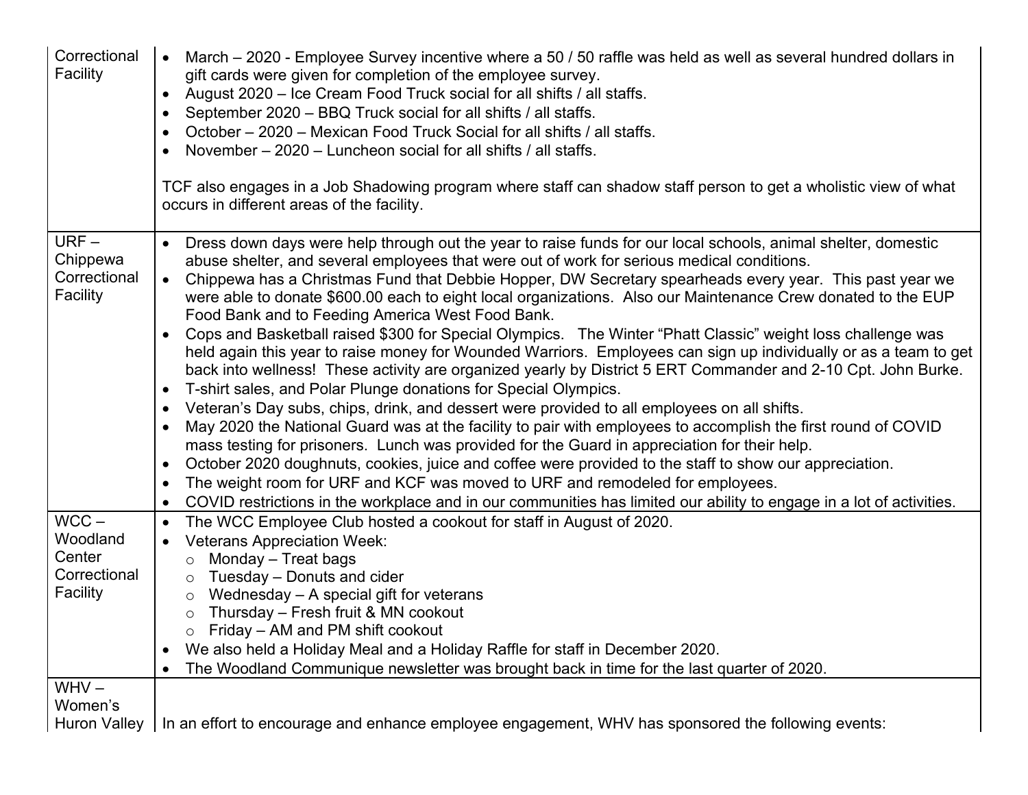| Correctional<br>Facility                                  | March – 2020 - Employee Survey incentive where a 50 / 50 raffle was held as well as several hundred dollars in<br>$\bullet$<br>gift cards were given for completion of the employee survey.<br>August 2020 – Ice Cream Food Truck social for all shifts / all staffs.<br>September 2020 - BBQ Truck social for all shifts / all staffs.<br>October – 2020 – Mexican Food Truck Social for all shifts / all staffs.<br>$\bullet$<br>November – 2020 – Luncheon social for all shifts / all staffs.<br>$\bullet$<br>TCF also engages in a Job Shadowing program where staff can shadow staff person to get a wholistic view of what<br>occurs in different areas of the facility.                                                                                                                                                                                                                                                                                                                                                                                                                                                                                                                                                                                                                                                                                                                                                                                                                                                                                                                                                                 |
|-----------------------------------------------------------|-------------------------------------------------------------------------------------------------------------------------------------------------------------------------------------------------------------------------------------------------------------------------------------------------------------------------------------------------------------------------------------------------------------------------------------------------------------------------------------------------------------------------------------------------------------------------------------------------------------------------------------------------------------------------------------------------------------------------------------------------------------------------------------------------------------------------------------------------------------------------------------------------------------------------------------------------------------------------------------------------------------------------------------------------------------------------------------------------------------------------------------------------------------------------------------------------------------------------------------------------------------------------------------------------------------------------------------------------------------------------------------------------------------------------------------------------------------------------------------------------------------------------------------------------------------------------------------------------------------------------------------------------|
| $URF -$<br>Chippewa<br>Correctional<br>Facility           | Dress down days were help through out the year to raise funds for our local schools, animal shelter, domestic<br>$\bullet$<br>abuse shelter, and several employees that were out of work for serious medical conditions.<br>Chippewa has a Christmas Fund that Debbie Hopper, DW Secretary spearheads every year. This past year we<br>were able to donate \$600.00 each to eight local organizations. Also our Maintenance Crew donated to the EUP<br>Food Bank and to Feeding America West Food Bank.<br>Cops and Basketball raised \$300 for Special Olympics. The Winter "Phatt Classic" weight loss challenge was<br>held again this year to raise money for Wounded Warriors. Employees can sign up individually or as a team to get<br>back into wellness! These activity are organized yearly by District 5 ERT Commander and 2-10 Cpt. John Burke.<br>T-shirt sales, and Polar Plunge donations for Special Olympics.<br>$\bullet$<br>Veteran's Day subs, chips, drink, and dessert were provided to all employees on all shifts.<br>$\bullet$<br>May 2020 the National Guard was at the facility to pair with employees to accomplish the first round of COVID<br>$\bullet$<br>mass testing for prisoners. Lunch was provided for the Guard in appreciation for their help.<br>October 2020 doughnuts, cookies, juice and coffee were provided to the staff to show our appreciation.<br>$\bullet$<br>The weight room for URF and KCF was moved to URF and remodeled for employees.<br>$\bullet$<br>COVID restrictions in the workplace and in our communities has limited our ability to engage in a lot of activities.<br>$\bullet$ |
| $WCC -$<br>Woodland<br>Center<br>Correctional<br>Facility | The WCC Employee Club hosted a cookout for staff in August of 2020.<br>$\bullet$<br><b>Veterans Appreciation Week:</b><br>$\bullet$<br>Monday - Treat bags<br>$\circ$<br>Tuesday - Donuts and cider<br>$\circ$<br>Wednesday $-$ A special gift for veterans<br>$\circ$<br>Thursday – Fresh fruit & MN cookout<br>$\circ$<br>Friday – AM and PM shift cookout<br>$\circ$<br>We also held a Holiday Meal and a Holiday Raffle for staff in December 2020.<br>$\bullet$<br>The Woodland Communique newsletter was brought back in time for the last quarter of 2020.<br>$\bullet$                                                                                                                                                                                                                                                                                                                                                                                                                                                                                                                                                                                                                                                                                                                                                                                                                                                                                                                                                                                                                                                                  |
| $WHV -$<br>Women's<br><b>Huron Valley</b>                 | In an effort to encourage and enhance employee engagement, WHV has sponsored the following events:                                                                                                                                                                                                                                                                                                                                                                                                                                                                                                                                                                                                                                                                                                                                                                                                                                                                                                                                                                                                                                                                                                                                                                                                                                                                                                                                                                                                                                                                                                                                              |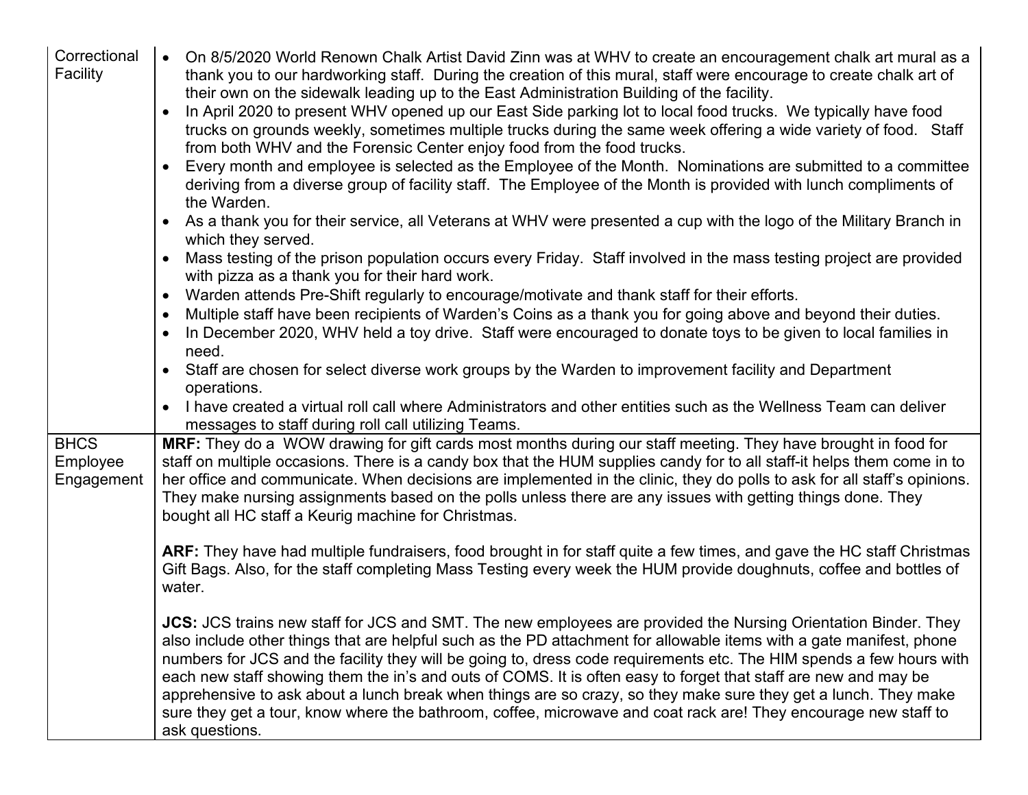| Correctional<br>Facility              | On 8/5/2020 World Renown Chalk Artist David Zinn was at WHV to create an encouragement chalk art mural as a<br>thank you to our hardworking staff. During the creation of this mural, staff were encourage to create chalk art of<br>their own on the sidewalk leading up to the East Administration Building of the facility.<br>In April 2020 to present WHV opened up our East Side parking lot to local food trucks. We typically have food<br>$\bullet$<br>trucks on grounds weekly, sometimes multiple trucks during the same week offering a wide variety of food. Staff<br>from both WHV and the Forensic Center enjoy food from the food trucks.<br>Every month and employee is selected as the Employee of the Month. Nominations are submitted to a committee<br>$\bullet$<br>deriving from a diverse group of facility staff. The Employee of the Month is provided with lunch compliments of |
|---------------------------------------|-----------------------------------------------------------------------------------------------------------------------------------------------------------------------------------------------------------------------------------------------------------------------------------------------------------------------------------------------------------------------------------------------------------------------------------------------------------------------------------------------------------------------------------------------------------------------------------------------------------------------------------------------------------------------------------------------------------------------------------------------------------------------------------------------------------------------------------------------------------------------------------------------------------|
|                                       | the Warden.<br>• As a thank you for their service, all Veterans at WHV were presented a cup with the logo of the Military Branch in                                                                                                                                                                                                                                                                                                                                                                                                                                                                                                                                                                                                                                                                                                                                                                       |
|                                       | which they served.<br>Mass testing of the prison population occurs every Friday. Staff involved in the mass testing project are provided<br>with pizza as a thank you for their hard work.                                                                                                                                                                                                                                                                                                                                                                                                                                                                                                                                                                                                                                                                                                                |
|                                       | Warden attends Pre-Shift regularly to encourage/motivate and thank staff for their efforts.<br>$\bullet$                                                                                                                                                                                                                                                                                                                                                                                                                                                                                                                                                                                                                                                                                                                                                                                                  |
|                                       | Multiple staff have been recipients of Warden's Coins as a thank you for going above and beyond their duties.<br>$\bullet$<br>In December 2020, WHV held a toy drive. Staff were encouraged to donate toys to be given to local families in<br>need.                                                                                                                                                                                                                                                                                                                                                                                                                                                                                                                                                                                                                                                      |
|                                       | • Staff are chosen for select diverse work groups by the Warden to improvement facility and Department<br>operations.                                                                                                                                                                                                                                                                                                                                                                                                                                                                                                                                                                                                                                                                                                                                                                                     |
|                                       | I have created a virtual roll call where Administrators and other entities such as the Wellness Team can deliver<br>messages to staff during roll call utilizing Teams.                                                                                                                                                                                                                                                                                                                                                                                                                                                                                                                                                                                                                                                                                                                                   |
| <b>BHCS</b><br>Employee<br>Engagement | MRF: They do a WOW drawing for gift cards most months during our staff meeting. They have brought in food for<br>staff on multiple occasions. There is a candy box that the HUM supplies candy for to all staff-it helps them come in to<br>her office and communicate. When decisions are implemented in the clinic, they do polls to ask for all staff's opinions.<br>They make nursing assignments based on the polls unless there are any issues with getting things done. They<br>bought all HC staff a Keurig machine for Christmas.                                                                                                                                                                                                                                                                                                                                                                |
|                                       | ARF: They have had multiple fundraisers, food brought in for staff quite a few times, and gave the HC staff Christmas<br>Gift Bags. Also, for the staff completing Mass Testing every week the HUM provide doughnuts, coffee and bottles of<br>water.                                                                                                                                                                                                                                                                                                                                                                                                                                                                                                                                                                                                                                                     |
|                                       | JCS: JCS trains new staff for JCS and SMT. The new employees are provided the Nursing Orientation Binder. They<br>also include other things that are helpful such as the PD attachment for allowable items with a gate manifest, phone<br>numbers for JCS and the facility they will be going to, dress code requirements etc. The HIM spends a few hours with<br>each new staff showing them the in's and outs of COMS. It is often easy to forget that staff are new and may be<br>apprehensive to ask about a lunch break when things are so crazy, so they make sure they get a lunch. They make<br>sure they get a tour, know where the bathroom, coffee, microwave and coat rack are! They encourage new staff to<br>ask questions.                                                                                                                                                                 |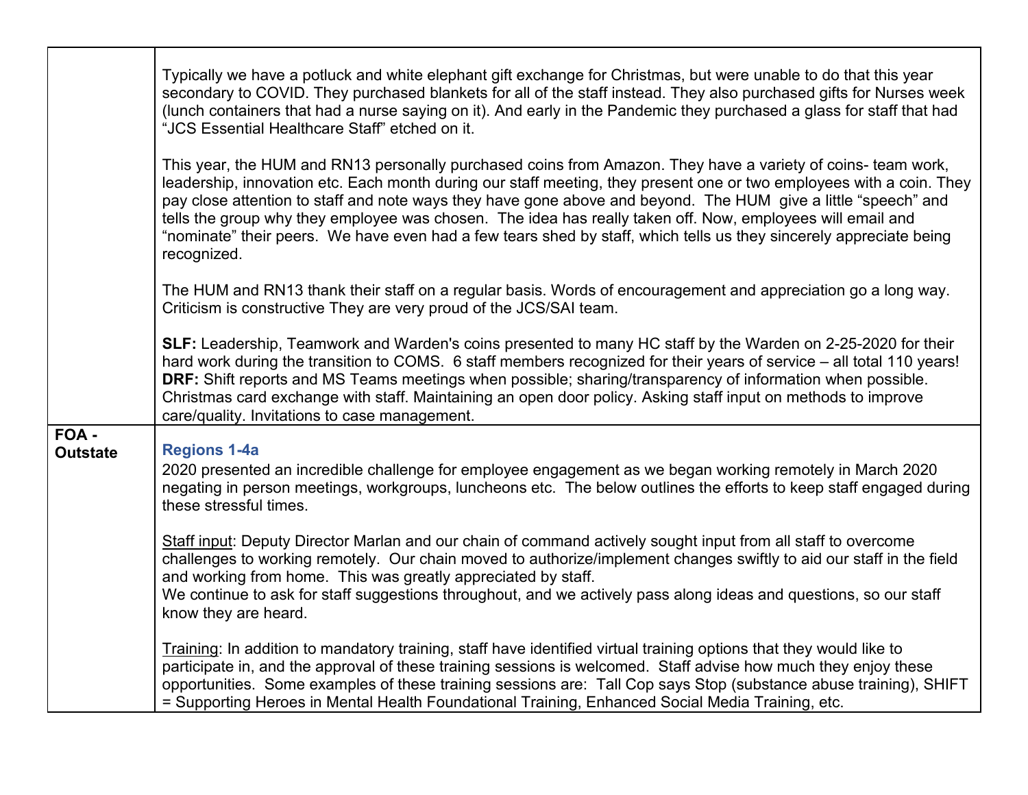|                          | Typically we have a potluck and white elephant gift exchange for Christmas, but were unable to do that this year<br>secondary to COVID. They purchased blankets for all of the staff instead. They also purchased gifts for Nurses week<br>(lunch containers that had a nurse saying on it). And early in the Pandemic they purchased a glass for staff that had<br>"JCS Essential Healthcare Staff" etched on it.                                                                                                                                                                                        |
|--------------------------|-----------------------------------------------------------------------------------------------------------------------------------------------------------------------------------------------------------------------------------------------------------------------------------------------------------------------------------------------------------------------------------------------------------------------------------------------------------------------------------------------------------------------------------------------------------------------------------------------------------|
|                          | This year, the HUM and RN13 personally purchased coins from Amazon. They have a variety of coins- team work,<br>leadership, innovation etc. Each month during our staff meeting, they present one or two employees with a coin. They<br>pay close attention to staff and note ways they have gone above and beyond. The HUM give a little "speech" and<br>tells the group why they employee was chosen. The idea has really taken off. Now, employees will email and<br>"nominate" their peers. We have even had a few tears shed by staff, which tells us they sincerely appreciate being<br>recognized. |
|                          | The HUM and RN13 thank their staff on a regular basis. Words of encouragement and appreciation go a long way.<br>Criticism is constructive They are very proud of the JCS/SAI team.                                                                                                                                                                                                                                                                                                                                                                                                                       |
|                          | SLF: Leadership, Teamwork and Warden's coins presented to many HC staff by the Warden on 2-25-2020 for their<br>hard work during the transition to COMS. 6 staff members recognized for their years of service – all total 110 years!<br>DRF: Shift reports and MS Teams meetings when possible; sharing/transparency of information when possible.<br>Christmas card exchange with staff. Maintaining an open door policy. Asking staff input on methods to improve<br>care/quality. Invitations to case management.                                                                                     |
| FOA -<br><b>Outstate</b> | <b>Regions 1-4a</b>                                                                                                                                                                                                                                                                                                                                                                                                                                                                                                                                                                                       |
|                          | 2020 presented an incredible challenge for employee engagement as we began working remotely in March 2020<br>negating in person meetings, workgroups, luncheons etc. The below outlines the efforts to keep staff engaged during<br>these stressful times.                                                                                                                                                                                                                                                                                                                                                |
|                          | Staff input: Deputy Director Marlan and our chain of command actively sought input from all staff to overcome<br>challenges to working remotely. Our chain moved to authorize/implement changes swiftly to aid our staff in the field<br>and working from home. This was greatly appreciated by staff.<br>We continue to ask for staff suggestions throughout, and we actively pass along ideas and questions, so our staff<br>know they are heard.                                                                                                                                                       |
|                          | Training: In addition to mandatory training, staff have identified virtual training options that they would like to<br>participate in, and the approval of these training sessions is welcomed. Staff advise how much they enjoy these<br>opportunities. Some examples of these training sessions are: Tall Cop says Stop (substance abuse training), SHIFT<br>= Supporting Heroes in Mental Health Foundational Training, Enhanced Social Media Training, etc.                                                                                                                                           |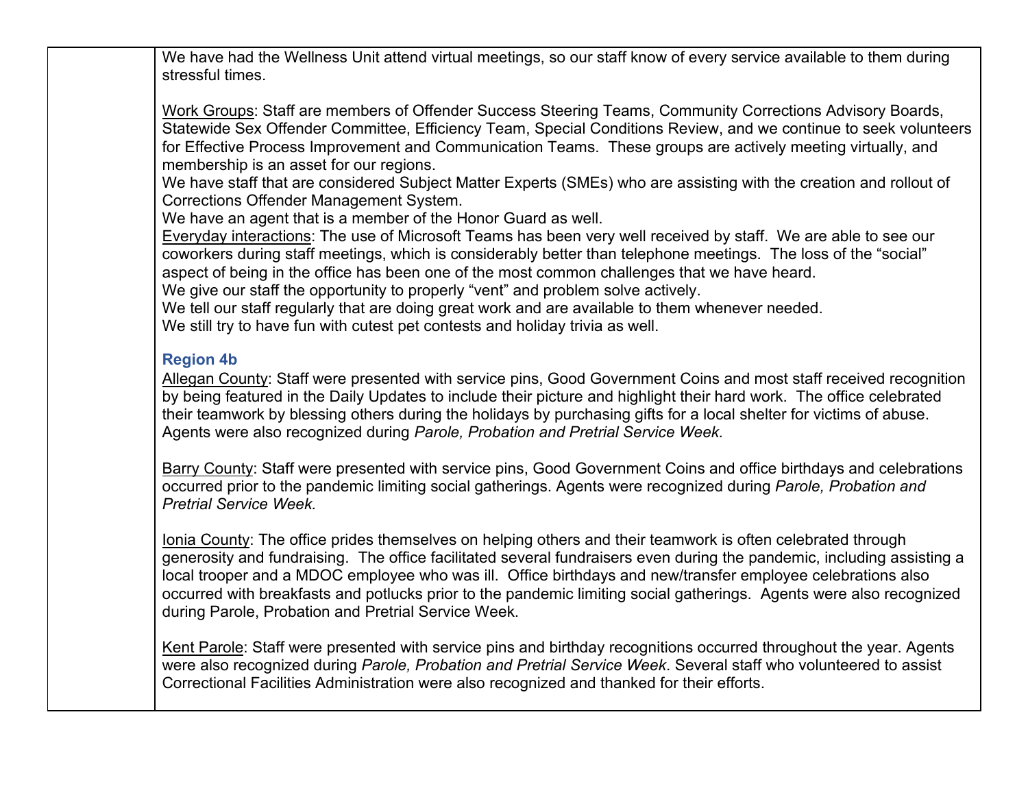We have had the Wellness Unit attend virtual meetings, so our staff know of every service available to them during stressful times.

Work Groups: Staff are members of Offender Success Steering Teams, Community Corrections Advisory Boards, Statewide Sex Offender Committee, Efficiency Team, Special Conditions Review, and we continue to seek volunteers for Effective Process Improvement and Communication Teams. These groups are actively meeting virtually, and membership is an asset for our regions.

We have staff that are considered Subject Matter Experts (SMEs) who are assisting with the creation and rollout of Corrections Offender Management System.

We have an agent that is a member of the Honor Guard as well.

Everyday interactions: The use of Microsoft Teams has been very well received by staff. We are able to see our coworkers during staff meetings, which is considerably better than telephone meetings. The loss of the "social" aspect of being in the office has been one of the most common challenges that we have heard.

We give our staff the opportunity to properly "vent" and problem solve actively.

We tell our staff regularly that are doing great work and are available to them whenever needed.

We still try to have fun with cutest pet contests and holiday trivia as well.

### **Region 4b**

Allegan County: Staff were presented with service pins, Good Government Coins and most staff received recognition by being featured in the Daily Updates to include their picture and highlight their hard work. The office celebrated their teamwork by blessing others during the holidays by purchasing gifts for a local shelter for victims of abuse. Agents were also recognized during *Parole, Probation and Pretrial Service Week.*

Barry County: Staff were presented with service pins, Good Government Coins and office birthdays and celebrations occurred prior to the pandemic limiting social gatherings. Agents were recognized during *Parole, Probation and Pretrial Service Week.*

Ionia County: The office prides themselves on helping others and their teamwork is often celebrated through generosity and fundraising. The office facilitated several fundraisers even during the pandemic, including assisting a local trooper and a MDOC employee who was ill. Office birthdays and new/transfer employee celebrations also occurred with breakfasts and potlucks prior to the pandemic limiting social gatherings. Agents were also recognized during Parole, Probation and Pretrial Service Week.

Kent Parole: Staff were presented with service pins and birthday recognitions occurred throughout the year. Agents were also recognized during *Parole, Probation and Pretrial Service Week*. Several staff who volunteered to assist Correctional Facilities Administration were also recognized and thanked for their efforts.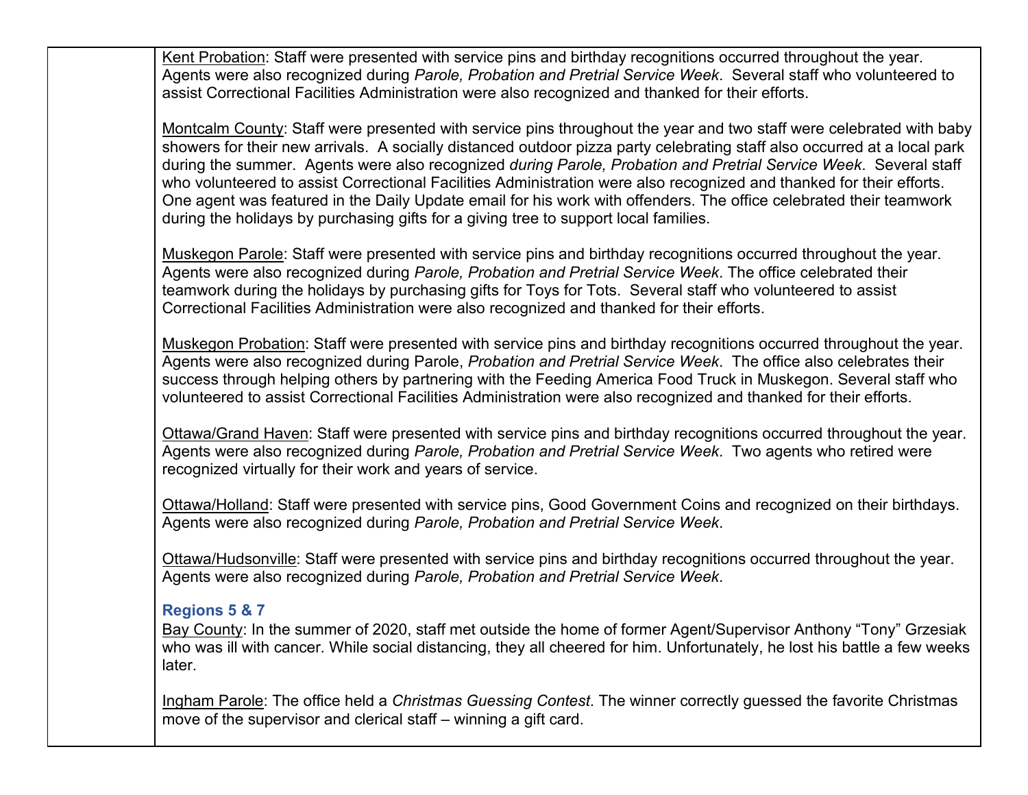Kent Probation: Staff were presented with service pins and birthday recognitions occurred throughout the year. Agents were also recognized during *Parole, Probation and Pretrial Service Week*. Several staff who volunteered to assist Correctional Facilities Administration were also recognized and thanked for their efforts.

Montcalm County: Staff were presented with service pins throughout the year and two staff were celebrated with baby showers for their new arrivals. A socially distanced outdoor pizza party celebrating staff also occurred at a local park during the summer. Agents were also recognized *during Parole, Probation and Pretrial Service Week*. Several staff who volunteered to assist Correctional Facilities Administration were also recognized and thanked for their efforts. One agent was featured in the Daily Update email for his work with offenders. The office celebrated their teamwork during the holidays by purchasing gifts for a giving tree to support local families.

Muskegon Parole: Staff were presented with service pins and birthday recognitions occurred throughout the year. Agents were also recognized during *Parole, Probation and Pretrial Service Week*. The office celebrated their teamwork during the holidays by purchasing gifts for Toys for Tots. Several staff who volunteered to assist Correctional Facilities Administration were also recognized and thanked for their efforts.

Muskegon Probation: Staff were presented with service pins and birthday recognitions occurred throughout the year. Agents were also recognized during Parole, *Probation and Pretrial Service Week*. The office also celebrates their success through helping others by partnering with the Feeding America Food Truck in Muskegon. Several staff who volunteered to assist Correctional Facilities Administration were also recognized and thanked for their efforts.

Ottawa/Grand Haven: Staff were presented with service pins and birthday recognitions occurred throughout the year. Agents were also recognized during *Parole, Probation and Pretrial Service Week*. Two agents who retired were recognized virtually for their work and years of service.

Ottawa/Holland: Staff were presented with service pins, Good Government Coins and recognized on their birthdays. Agents were also recognized during *Parole, Probation and Pretrial Service Week*.

Ottawa/Hudsonville: Staff were presented with service pins and birthday recognitions occurred throughout the year. Agents were also recognized during *Parole, Probation and Pretrial Service Week*.

#### **Regions 5 & 7**

Bay County: In the summer of 2020, staff met outside the home of former Agent/Supervisor Anthony "Tony" Grzesiak who was ill with cancer. While social distancing, they all cheered for him. Unfortunately, he lost his battle a few weeks later.

Ingham Parole: The office held a *Christmas Guessing Contest*. The winner correctly guessed the favorite Christmas move of the supervisor and clerical staff – winning a gift card.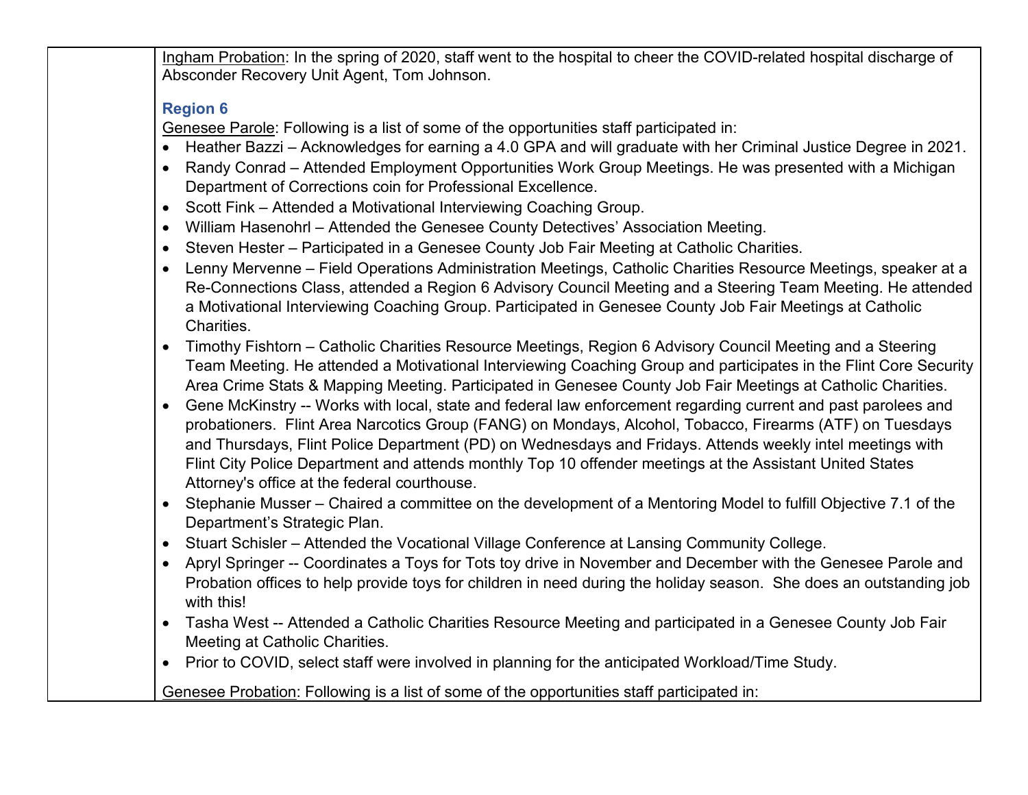Ingham Probation: In the spring of 2020, staff went to the hospital to cheer the COVID-related hospital discharge of Absconder Recovery Unit Agent, Tom Johnson.

### **Region 6**

Genesee Parole: Following is a list of some of the opportunities staff participated in:

- Heather Bazzi Acknowledges for earning a 4.0 GPA and will graduate with her Criminal Justice Degree in 2021.
- Randy Conrad Attended Employment Opportunities Work Group Meetings. He was presented with a Michigan Department of Corrections coin for Professional Excellence.
- Scott Fink Attended a Motivational Interviewing Coaching Group.
- William Hasenohrl Attended the Genesee County Detectives' Association Meeting.
- Steven Hester Participated in a Genesee County Job Fair Meeting at Catholic Charities.
- Lenny Mervenne Field Operations Administration Meetings, Catholic Charities Resource Meetings, speaker at a Re-Connections Class, attended a Region 6 Advisory Council Meeting and a Steering Team Meeting. He attended a Motivational Interviewing Coaching Group. Participated in Genesee County Job Fair Meetings at Catholic Charities.
- Timothy Fishtorn Catholic Charities Resource Meetings, Region 6 Advisory Council Meeting and a Steering Team Meeting. He attended a Motivational Interviewing Coaching Group and participates in the Flint Core Security Area Crime Stats & Mapping Meeting. Participated in Genesee County Job Fair Meetings at Catholic Charities.
- Gene McKinstry -- Works with local, state and federal law enforcement regarding current and past parolees and probationers. Flint Area Narcotics Group (FANG) on Mondays, Alcohol, Tobacco, Firearms (ATF) on Tuesdays and Thursdays, Flint Police Department (PD) on Wednesdays and Fridays. Attends weekly intel meetings with Flint City Police Department and attends monthly Top 10 offender meetings at the Assistant United States Attorney's office at the federal courthouse.
- Stephanie Musser Chaired a committee on the development of a Mentoring Model to fulfill Objective 7.1 of the Department's Strategic Plan.
- Stuart Schisler Attended the Vocational Village Conference at Lansing Community College.
- Apryl Springer -- Coordinates a Toys for Tots toy drive in November and December with the Genesee Parole and Probation offices to help provide toys for children in need during the holiday season. She does an outstanding job with this!
- Tasha West -- Attended a Catholic Charities Resource Meeting and participated in a Genesee County Job Fair Meeting at Catholic Charities.
- Prior to COVID, select staff were involved in planning for the anticipated Workload/Time Study.

Genesee Probation: Following is a list of some of the opportunities staff participated in: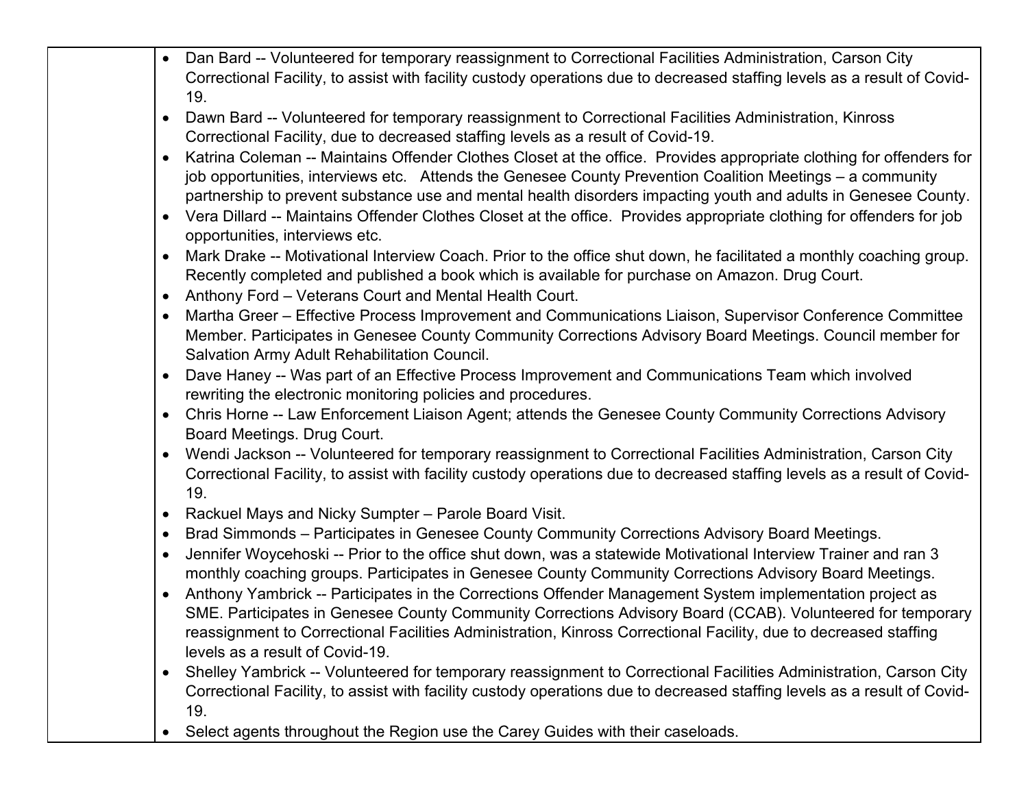|           | Dan Bard -- Volunteered for temporary reassignment to Correctional Facilities Administration, Carson City                                                                                                             |
|-----------|-----------------------------------------------------------------------------------------------------------------------------------------------------------------------------------------------------------------------|
|           | Correctional Facility, to assist with facility custody operations due to decreased staffing levels as a result of Covid-<br>19.                                                                                       |
| $\bullet$ | Dawn Bard -- Volunteered for temporary reassignment to Correctional Facilities Administration, Kinross                                                                                                                |
|           | Correctional Facility, due to decreased staffing levels as a result of Covid-19.                                                                                                                                      |
| $\bullet$ | Katrina Coleman -- Maintains Offender Clothes Closet at the office. Provides appropriate clothing for offenders for                                                                                                   |
|           | job opportunities, interviews etc. Attends the Genesee County Prevention Coalition Meetings - a community                                                                                                             |
|           | partnership to prevent substance use and mental health disorders impacting youth and adults in Genesee County.                                                                                                        |
| $\bullet$ | Vera Dillard -- Maintains Offender Clothes Closet at the office. Provides appropriate clothing for offenders for job                                                                                                  |
|           | opportunities, interviews etc.                                                                                                                                                                                        |
|           |                                                                                                                                                                                                                       |
| $\bullet$ | Mark Drake -- Motivational Interview Coach. Prior to the office shut down, he facilitated a monthly coaching group.<br>Recently completed and published a book which is available for purchase on Amazon. Drug Court. |
|           |                                                                                                                                                                                                                       |
| $\bullet$ | Anthony Ford - Veterans Court and Mental Health Court.                                                                                                                                                                |
|           | Martha Greer - Effective Process Improvement and Communications Liaison, Supervisor Conference Committee                                                                                                              |
|           | Member. Participates in Genesee County Community Corrections Advisory Board Meetings. Council member for                                                                                                              |
|           | Salvation Army Adult Rehabilitation Council.                                                                                                                                                                          |
| $\bullet$ | Dave Haney -- Was part of an Effective Process Improvement and Communications Team which involved                                                                                                                     |
|           | rewriting the electronic monitoring policies and procedures.                                                                                                                                                          |
| $\bullet$ | Chris Horne -- Law Enforcement Liaison Agent; attends the Genesee County Community Corrections Advisory                                                                                                               |
|           | Board Meetings. Drug Court.                                                                                                                                                                                           |
| $\bullet$ | Wendi Jackson -- Volunteered for temporary reassignment to Correctional Facilities Administration, Carson City                                                                                                        |
|           | Correctional Facility, to assist with facility custody operations due to decreased staffing levels as a result of Covid-<br>19.                                                                                       |
|           |                                                                                                                                                                                                                       |
| $\bullet$ | Rackuel Mays and Nicky Sumpter - Parole Board Visit.                                                                                                                                                                  |
| $\bullet$ | Brad Simmonds - Participates in Genesee County Community Corrections Advisory Board Meetings.                                                                                                                         |
| $\bullet$ | Jennifer Woycehoski -- Prior to the office shut down, was a statewide Motivational Interview Trainer and ran 3                                                                                                        |
|           | monthly coaching groups. Participates in Genesee County Community Corrections Advisory Board Meetings.                                                                                                                |
| $\bullet$ | Anthony Yambrick -- Participates in the Corrections Offender Management System implementation project as                                                                                                              |
|           | SME. Participates in Genesee County Community Corrections Advisory Board (CCAB). Volunteered for temporary                                                                                                            |
|           | reassignment to Correctional Facilities Administration, Kinross Correctional Facility, due to decreased staffing                                                                                                      |
|           | levels as a result of Covid-19.                                                                                                                                                                                       |
|           | Shelley Yambrick -- Volunteered for temporary reassignment to Correctional Facilities Administration, Carson City                                                                                                     |
|           | Correctional Facility, to assist with facility custody operations due to decreased staffing levels as a result of Covid-                                                                                              |
|           | 19.                                                                                                                                                                                                                   |
|           | Select agents throughout the Region use the Carey Guides with their caseloads.                                                                                                                                        |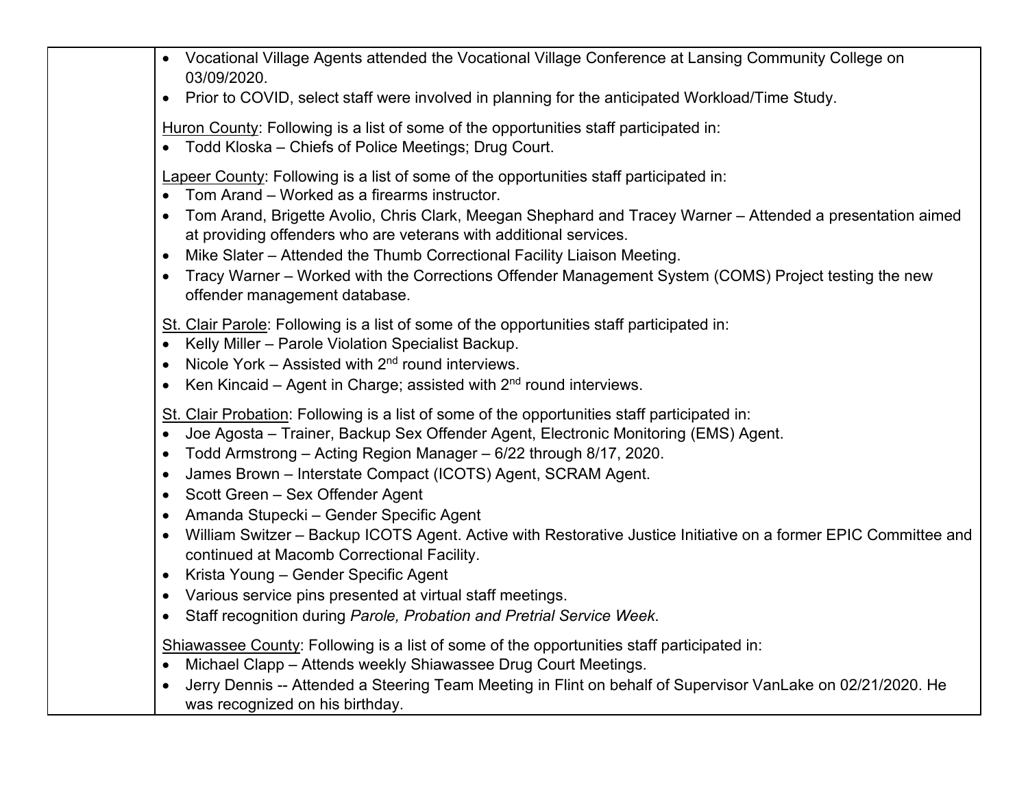- Vocational Village Agents attended the Vocational Village Conference at Lansing Community College on 03/09/2020.
- Prior to COVID, select staff were involved in planning for the anticipated Workload/Time Study.

Huron County: Following is a list of some of the opportunities staff participated in:

• Todd Kloska – Chiefs of Police Meetings; Drug Court.

Lapeer County: Following is a list of some of the opportunities staff participated in:

- Tom Arand Worked as a firearms instructor.
- Tom Arand, Brigette Avolio, Chris Clark, Meegan Shephard and Tracey Warner Attended a presentation aimed at providing offenders who are veterans with additional services.
- Mike Slater Attended the Thumb Correctional Facility Liaison Meeting.
- Tracy Warner Worked with the Corrections Offender Management System (COMS) Project testing the new offender management database.
- St. Clair Parole: Following is a list of some of the opportunities staff participated in:
- Kelly Miller Parole Violation Specialist Backup.
- Nicole York Assisted with  $2<sup>nd</sup>$  round interviews.
- Ken Kincaid Agent in Charge; assisted with  $2<sup>nd</sup>$  round interviews.

St. Clair Probation: Following is a list of some of the opportunities staff participated in:

- Joe Agosta Trainer, Backup Sex Offender Agent, Electronic Monitoring (EMS) Agent.
- Todd Armstrong Acting Region Manager 6/22 through 8/17, 2020.
- James Brown Interstate Compact (ICOTS) Agent, SCRAM Agent.
- Scott Green Sex Offender Agent
- Amanda Stupecki Gender Specific Agent
- William Switzer Backup ICOTS Agent. Active with Restorative Justice Initiative on a former EPIC Committee and continued at Macomb Correctional Facility.
- Krista Young Gender Specific Agent
- Various service pins presented at virtual staff meetings.
- Staff recognition during *Parole, Probation and Pretrial Service Week*.

Shiawassee County: Following is a list of some of the opportunities staff participated in:

- Michael Clapp Attends weekly Shiawassee Drug Court Meetings.
- Jerry Dennis -- Attended a Steering Team Meeting in Flint on behalf of Supervisor VanLake on 02/21/2020. He was recognized on his birthday.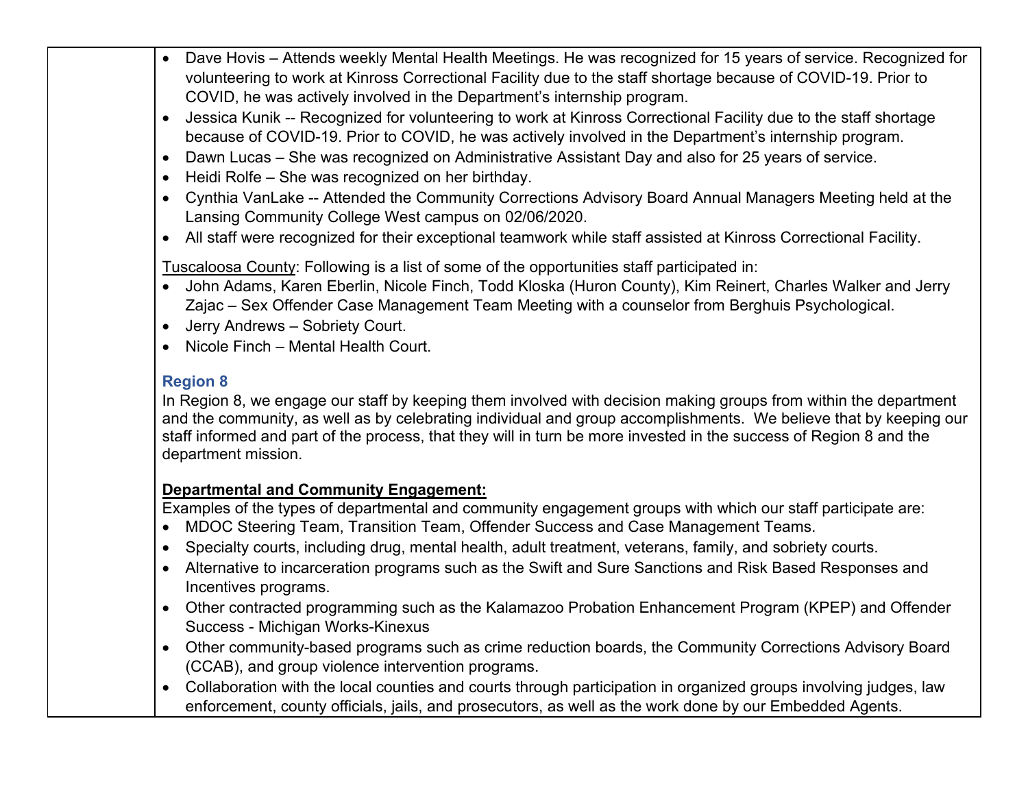- Dave Hovis Attends weekly Mental Health Meetings. He was recognized for 15 years of service. Recognized for volunteering to work at Kinross Correctional Facility due to the staff shortage because of COVID-19. Prior to COVID, he was actively involved in the Department's internship program.
- Jessica Kunik -- Recognized for volunteering to work at Kinross Correctional Facility due to the staff shortage because of COVID-19. Prior to COVID, he was actively involved in the Department's internship program.
- Dawn Lucas She was recognized on Administrative Assistant Day and also for 25 years of service.
- Heidi Rolfe She was recognized on her birthday.
- Cynthia VanLake -- Attended the Community Corrections Advisory Board Annual Managers Meeting held at the Lansing Community College West campus on 02/06/2020.
- All staff were recognized for their exceptional teamwork while staff assisted at Kinross Correctional Facility.

Tuscaloosa County: Following is a list of some of the opportunities staff participated in:

- John Adams, Karen Eberlin, Nicole Finch, Todd Kloska (Huron County), Kim Reinert, Charles Walker and Jerry Zajac – Sex Offender Case Management Team Meeting with a counselor from Berghuis Psychological.
- Jerry Andrews Sobriety Court.
- Nicole Finch Mental Health Court.

## **Region 8**

In Region 8, we engage our staff by keeping them involved with decision making groups from within the department and the community, as well as by celebrating individual and group accomplishments. We believe that by keeping our staff informed and part of the process, that they will in turn be more invested in the success of Region 8 and the department mission.

### **Departmental and Community Engagement:**

Examples of the types of departmental and community engagement groups with which our staff participate are:

- MDOC Steering Team, Transition Team, Offender Success and Case Management Teams.
- Specialty courts, including drug, mental health, adult treatment, veterans, family, and sobriety courts.
- Alternative to incarceration programs such as the Swift and Sure Sanctions and Risk Based Responses and Incentives programs.
- Other contracted programming such as the Kalamazoo Probation Enhancement Program (KPEP) and Offender Success - Michigan Works-Kinexus
- Other community-based programs such as crime reduction boards, the Community Corrections Advisory Board (CCAB), and group violence intervention programs.
- Collaboration with the local counties and courts through participation in organized groups involving judges, law enforcement, county officials, jails, and prosecutors, as well as the work done by our Embedded Agents.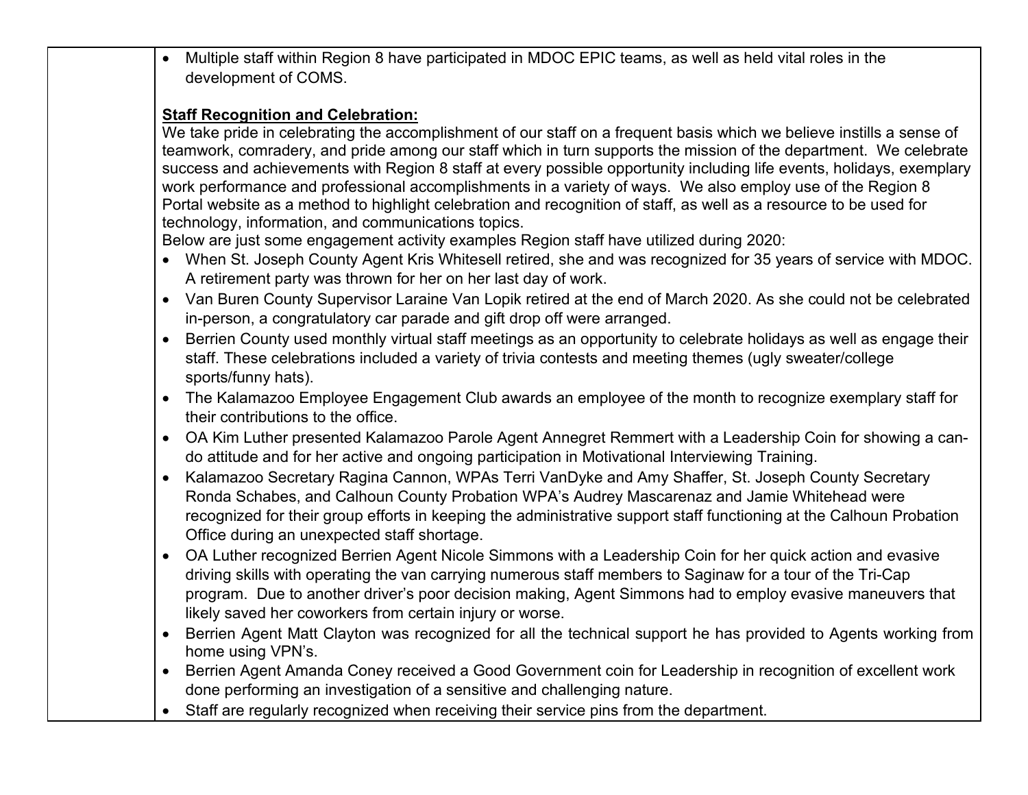• Multiple staff within Region 8 have participated in MDOC EPIC teams, as well as held vital roles in the development of COMS.

#### **Staff Recognition and Celebration:**

We take pride in celebrating the accomplishment of our staff on a frequent basis which we believe instills a sense of teamwork, comradery, and pride among our staff which in turn supports the mission of the department. We celebrate success and achievements with Region 8 staff at every possible opportunity including life events, holidays, exemplary work performance and professional accomplishments in a variety of ways. We also employ use of the Region 8 Portal website as a method to highlight celebration and recognition of staff, as well as a resource to be used for technology, information, and communications topics.

Below are just some engagement activity examples Region staff have utilized during 2020:

- When St. Joseph County Agent Kris Whitesell retired, she and was recognized for 35 years of service with MDOC. A retirement party was thrown for her on her last day of work.
- Van Buren County Supervisor Laraine Van Lopik retired at the end of March 2020. As she could not be celebrated in-person, a congratulatory car parade and gift drop off were arranged.
- Berrien County used monthly virtual staff meetings as an opportunity to celebrate holidays as well as engage their staff. These celebrations included a variety of trivia contests and meeting themes (ugly sweater/college sports/funny hats).
- The Kalamazoo Employee Engagement Club awards an employee of the month to recognize exemplary staff for their contributions to the office.
- OA Kim Luther presented Kalamazoo Parole Agent Annegret Remmert with a Leadership Coin for showing a cando attitude and for her active and ongoing participation in Motivational Interviewing Training.
- Kalamazoo Secretary Ragina Cannon, WPAs Terri VanDyke and Amy Shaffer, St. Joseph County Secretary Ronda Schabes, and Calhoun County Probation WPA's Audrey Mascarenaz and Jamie Whitehead were recognized for their group efforts in keeping the administrative support staff functioning at the Calhoun Probation Office during an unexpected staff shortage.
- OA Luther recognized Berrien Agent Nicole Simmons with a Leadership Coin for her quick action and evasive driving skills with operating the van carrying numerous staff members to Saginaw for a tour of the Tri-Cap program. Due to another driver's poor decision making, Agent Simmons had to employ evasive maneuvers that likely saved her coworkers from certain injury or worse.
- Berrien Agent Matt Clayton was recognized for all the technical support he has provided to Agents working from home using VPN's.
- Berrien Agent Amanda Coney received a Good Government coin for Leadership in recognition of excellent work done performing an investigation of a sensitive and challenging nature.
- Staff are regularly recognized when receiving their service pins from the department.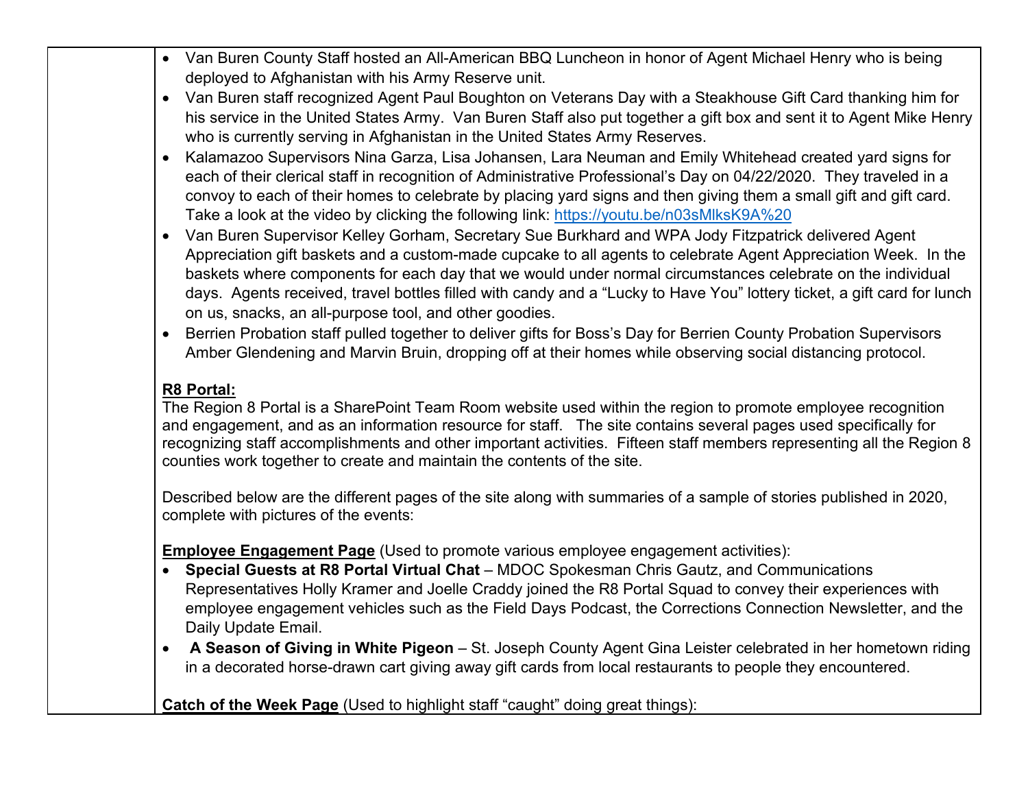- Van Buren County Staff hosted an All-American BBQ Luncheon in honor of Agent Michael Henry who is being deployed to Afghanistan with his Army Reserve unit.
- Van Buren staff recognized Agent Paul Boughton on Veterans Day with a Steakhouse Gift Card thanking him for his service in the United States Army. Van Buren Staff also put together a gift box and sent it to Agent Mike Henry who is currently serving in Afghanistan in the United States Army Reserves.
- Kalamazoo Supervisors Nina Garza, Lisa Johansen, Lara Neuman and Emily Whitehead created yard signs for each of their clerical staff in recognition of Administrative Professional's Day on 04/22/2020. They traveled in a convoy to each of their homes to celebrate by placing yard signs and then giving them a small gift and gift card. Take a look at the video by clicking the following link: [https://youtu.be/n03sMlksK9A%20](https://youtu.be/n03sMlksK9A)
- Van Buren Supervisor Kelley Gorham, Secretary Sue Burkhard and WPA Jody Fitzpatrick delivered Agent Appreciation gift baskets and a custom-made cupcake to all agents to celebrate Agent Appreciation Week. In the baskets where components for each day that we would under normal circumstances celebrate on the individual days. Agents received, travel bottles filled with candy and a "Lucky to Have You" lottery ticket, a gift card for lunch on us, snacks, an all-purpose tool, and other goodies.
- Berrien Probation staff pulled together to deliver gifts for Boss's Day for Berrien County Probation Supervisors Amber Glendening and Marvin Bruin, dropping off at their homes while observing social distancing protocol.

### **R8 Portal:**

The Region 8 Portal is a SharePoint Team Room website used within the region to promote employee recognition and engagement, and as an information resource for staff. The site contains several pages used specifically for recognizing staff accomplishments and other important activities. Fifteen staff members representing all the Region 8 counties work together to create and maintain the contents of the site.

Described below are the different pages of the site along with summaries of a sample of stories published in 2020, complete with pictures of the events:

**Employee Engagement Page** (Used to promote various employee engagement activities):

- **Special Guests at R8 Portal Virtual Chat** MDOC Spokesman Chris Gautz, and Communications Representatives Holly Kramer and Joelle Craddy joined the R8 Portal Squad to convey their experiences with employee engagement vehicles such as the Field Days Podcast, the Corrections Connection Newsletter, and the Daily Update Email.
- **A Season of Giving in White Pigeon** St. Joseph County Agent Gina Leister celebrated in her hometown riding in a decorated horse-drawn cart giving away gift cards from local restaurants to people they encountered.

**Catch of the Week Page** (Used to highlight staff "caught" doing great things):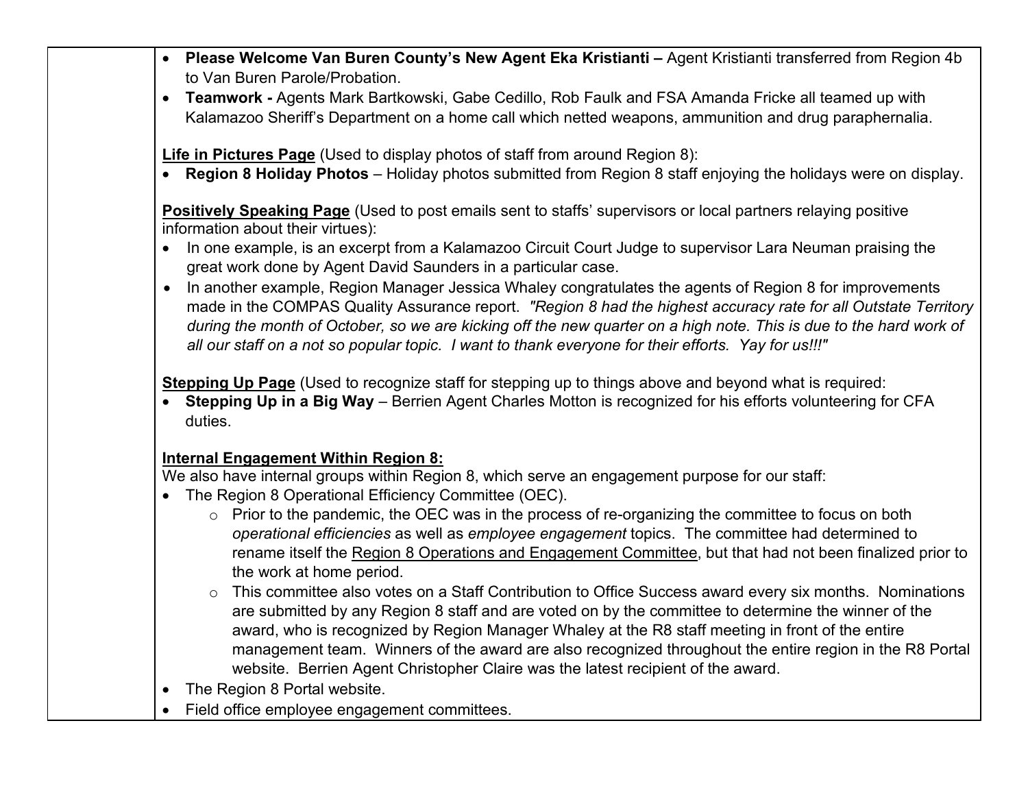- **Please Welcome Van Buren County's New Agent Eka Kristianti –** Agent Kristianti transferred from Region 4b to Van Buren Parole/Probation.
- **Teamwork -** Agents Mark Bartkowski, Gabe Cedillo, Rob Faulk and FSA Amanda Fricke all teamed up with Kalamazoo Sheriff's Department on a home call which netted weapons, ammunition and drug paraphernalia.

**Life in Pictures Page** (Used to display photos of staff from around Region 8):

• **Region 8 Holiday Photos** – Holiday photos submitted from Region 8 staff enjoying the holidays were on display.

**Positively Speaking Page** (Used to post emails sent to staffs' supervisors or local partners relaying positive information about their virtues):

- In one example, is an excerpt from a Kalamazoo Circuit Court Judge to supervisor Lara Neuman praising the great work done by Agent David Saunders in a particular case.
- In another example, Region Manager Jessica Whaley congratulates the agents of Region 8 for improvements made in the COMPAS Quality Assurance report. *"Region 8 had the highest accuracy rate for all Outstate Territory during the month of October, so we are kicking off the new quarter on a high note. This is due to the hard work of all our staff on a not so popular topic. I want to thank everyone for their efforts. Yay for us!!!"*

**Stepping Up Page** (Used to recognize staff for stepping up to things above and beyond what is required:

• **Stepping Up in a Big Way** – Berrien Agent Charles Motton is recognized for his efforts volunteering for CFA duties.

### **Internal Engagement Within Region 8:**

We also have internal groups within Region 8, which serve an engagement purpose for our staff:

- The Region 8 Operational Efficiency Committee (OEC).
	- o Prior to the pandemic, the OEC was in the process of re-organizing the committee to focus on both *operational efficiencies* as well as *employee engagement* topics. The committee had determined to rename itself the Region 8 Operations and Engagement Committee, but that had not been finalized prior to the work at home period.
	- o This committee also votes on a Staff Contribution to Office Success award every six months. Nominations are submitted by any Region 8 staff and are voted on by the committee to determine the winner of the award, who is recognized by Region Manager Whaley at the R8 staff meeting in front of the entire management team. Winners of the award are also recognized throughout the entire region in the R8 Portal website. Berrien Agent Christopher Claire was the latest recipient of the award.
- The Region 8 Portal website.
- Field office employee engagement committees.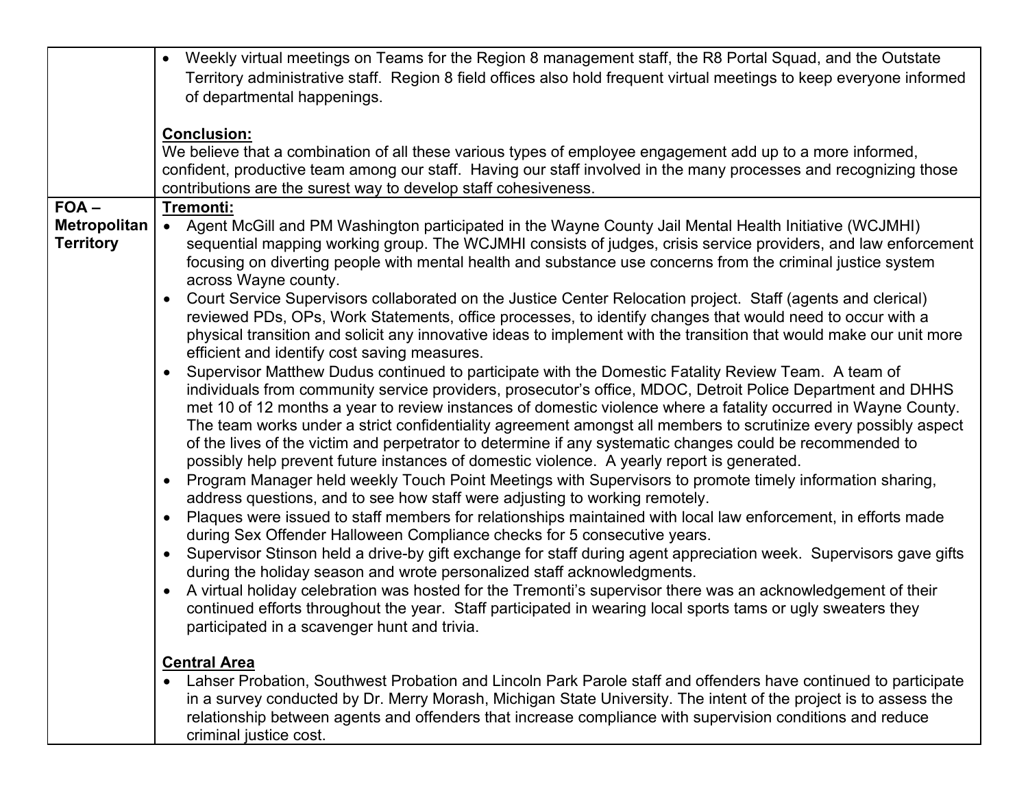|                                                    | Weekly virtual meetings on Teams for the Region 8 management staff, the R8 Portal Squad, and the Outstate<br>$\bullet$<br>Territory administrative staff. Region 8 field offices also hold frequent virtual meetings to keep everyone informed<br>of departmental happenings.                                                                                                                                                                                                                                                                                                                                                                                                                                                                                                                                                                                                                                                                                                                                                                                                                                                                                                                                                                                                                                                                                                                                                                                                                                                                                                                                                                                                                                                                                                                                                                                                                                                                                                                                                                                                                                                                                                                                                                                                                                                                                                                                                                                                                                                                                                                                                         |  |  |  |  |
|----------------------------------------------------|---------------------------------------------------------------------------------------------------------------------------------------------------------------------------------------------------------------------------------------------------------------------------------------------------------------------------------------------------------------------------------------------------------------------------------------------------------------------------------------------------------------------------------------------------------------------------------------------------------------------------------------------------------------------------------------------------------------------------------------------------------------------------------------------------------------------------------------------------------------------------------------------------------------------------------------------------------------------------------------------------------------------------------------------------------------------------------------------------------------------------------------------------------------------------------------------------------------------------------------------------------------------------------------------------------------------------------------------------------------------------------------------------------------------------------------------------------------------------------------------------------------------------------------------------------------------------------------------------------------------------------------------------------------------------------------------------------------------------------------------------------------------------------------------------------------------------------------------------------------------------------------------------------------------------------------------------------------------------------------------------------------------------------------------------------------------------------------------------------------------------------------------------------------------------------------------------------------------------------------------------------------------------------------------------------------------------------------------------------------------------------------------------------------------------------------------------------------------------------------------------------------------------------------------------------------------------------------------------------------------------------------|--|--|--|--|
|                                                    | <b>Conclusion:</b>                                                                                                                                                                                                                                                                                                                                                                                                                                                                                                                                                                                                                                                                                                                                                                                                                                                                                                                                                                                                                                                                                                                                                                                                                                                                                                                                                                                                                                                                                                                                                                                                                                                                                                                                                                                                                                                                                                                                                                                                                                                                                                                                                                                                                                                                                                                                                                                                                                                                                                                                                                                                                    |  |  |  |  |
|                                                    | We believe that a combination of all these various types of employee engagement add up to a more informed,<br>confident, productive team among our staff. Having our staff involved in the many processes and recognizing those<br>contributions are the surest way to develop staff cohesiveness.                                                                                                                                                                                                                                                                                                                                                                                                                                                                                                                                                                                                                                                                                                                                                                                                                                                                                                                                                                                                                                                                                                                                                                                                                                                                                                                                                                                                                                                                                                                                                                                                                                                                                                                                                                                                                                                                                                                                                                                                                                                                                                                                                                                                                                                                                                                                    |  |  |  |  |
| $FOA -$<br><b>Metropolitan</b><br><b>Territory</b> | Tremonti:<br>• Agent McGill and PM Washington participated in the Wayne County Jail Mental Health Initiative (WCJMHI)<br>sequential mapping working group. The WCJMHI consists of judges, crisis service providers, and law enforcement<br>focusing on diverting people with mental health and substance use concerns from the criminal justice system<br>across Wayne county.<br>Court Service Supervisors collaborated on the Justice Center Relocation project. Staff (agents and clerical)<br>reviewed PDs, OPs, Work Statements, office processes, to identify changes that would need to occur with a<br>physical transition and solicit any innovative ideas to implement with the transition that would make our unit more<br>efficient and identify cost saving measures.<br>Supervisor Matthew Dudus continued to participate with the Domestic Fatality Review Team. A team of<br>$\bullet$<br>individuals from community service providers, prosecutor's office, MDOC, Detroit Police Department and DHHS<br>met 10 of 12 months a year to review instances of domestic violence where a fatality occurred in Wayne County.<br>The team works under a strict confidentiality agreement amongst all members to scrutinize every possibly aspect<br>of the lives of the victim and perpetrator to determine if any systematic changes could be recommended to<br>possibly help prevent future instances of domestic violence. A yearly report is generated.<br>Program Manager held weekly Touch Point Meetings with Supervisors to promote timely information sharing,<br>$\bullet$<br>address questions, and to see how staff were adjusting to working remotely.<br>Plaques were issued to staff members for relationships maintained with local law enforcement, in efforts made<br>during Sex Offender Halloween Compliance checks for 5 consecutive years.<br>Supervisor Stinson held a drive-by gift exchange for staff during agent appreciation week. Supervisors gave gifts<br>during the holiday season and wrote personalized staff acknowledgments.<br>A virtual holiday celebration was hosted for the Tremonti's supervisor there was an acknowledgement of their<br>$\bullet$<br>continued efforts throughout the year. Staff participated in wearing local sports tams or ugly sweaters they<br>participated in a scavenger hunt and trivia.<br><b>Central Area</b><br>Lahser Probation, Southwest Probation and Lincoln Park Parole staff and offenders have continued to participate<br>in a survey conducted by Dr. Merry Morash, Michigan State University. The intent of the project is to assess the |  |  |  |  |
|                                                    | relationship between agents and offenders that increase compliance with supervision conditions and reduce<br>criminal justice cost.                                                                                                                                                                                                                                                                                                                                                                                                                                                                                                                                                                                                                                                                                                                                                                                                                                                                                                                                                                                                                                                                                                                                                                                                                                                                                                                                                                                                                                                                                                                                                                                                                                                                                                                                                                                                                                                                                                                                                                                                                                                                                                                                                                                                                                                                                                                                                                                                                                                                                                   |  |  |  |  |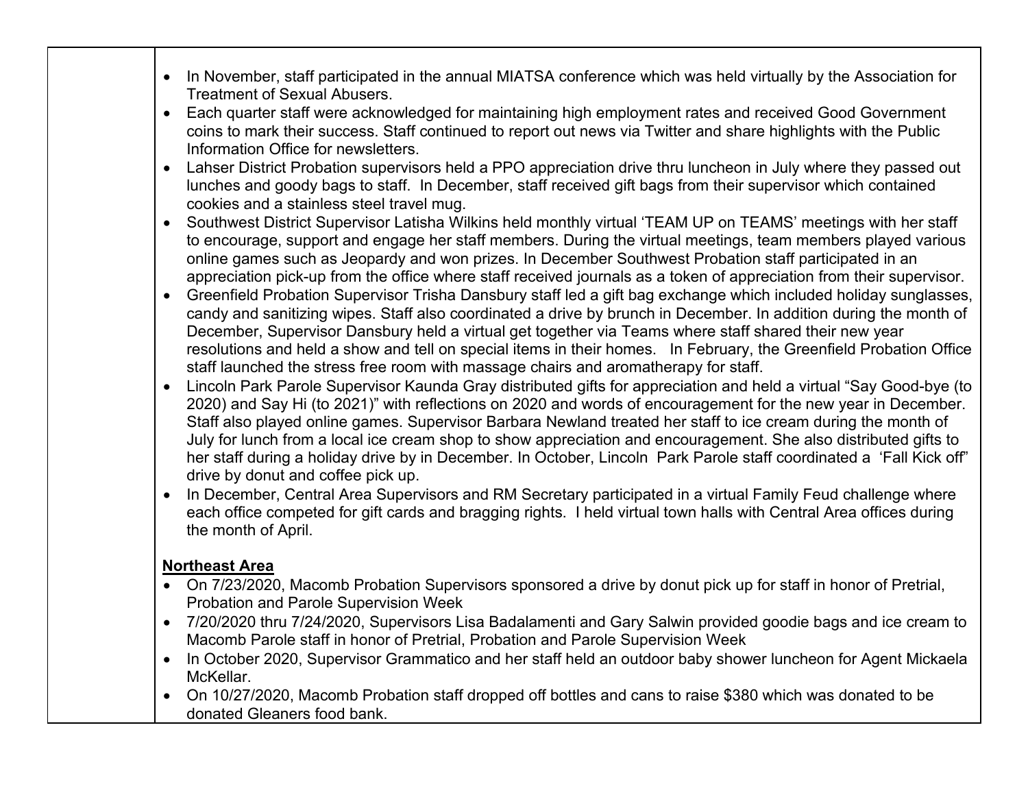- In November, staff participated in the annual MIATSA conference which was held virtually by the Association for Treatment of Sexual Abusers.
- Each quarter staff were acknowledged for maintaining high employment rates and received Good Government coins to mark their success. Staff continued to report out news via Twitter and share highlights with the Public Information Office for newsletters.
- Lahser District Probation supervisors held a PPO appreciation drive thru luncheon in July where they passed out lunches and goody bags to staff. In December, staff received gift bags from their supervisor which contained cookies and a stainless steel travel mug.
- Southwest District Supervisor Latisha Wilkins held monthly virtual 'TEAM UP on TEAMS' meetings with her staff to encourage, support and engage her staff members. During the virtual meetings, team members played various online games such as Jeopardy and won prizes. In December Southwest Probation staff participated in an appreciation pick-up from the office where staff received journals as a token of appreciation from their supervisor.
- Greenfield Probation Supervisor Trisha Dansbury staff led a gift bag exchange which included holiday sunglasses, candy and sanitizing wipes. Staff also coordinated a drive by brunch in December. In addition during the month of December, Supervisor Dansbury held a virtual get together via Teams where staff shared their new year resolutions and held a show and tell on special items in their homes. In February, the Greenfield Probation Office staff launched the stress free room with massage chairs and aromatherapy for staff.
- Lincoln Park Parole Supervisor Kaunda Gray distributed gifts for appreciation and held a virtual "Say Good-bye (to 2020) and Say Hi (to 2021)" with reflections on 2020 and words of encouragement for the new year in December. Staff also played online games. Supervisor Barbara Newland treated her staff to ice cream during the month of July for lunch from a local ice cream shop to show appreciation and encouragement. She also distributed gifts to her staff during a holiday drive by in December. In October, Lincoln Park Parole staff coordinated a 'Fall Kick off" drive by donut and coffee pick up.
- In December, Central Area Supervisors and RM Secretary participated in a virtual Family Feud challenge where each office competed for gift cards and bragging rights. I held virtual town halls with Central Area offices during the month of April.

### **Northeast Area**

- On 7/23/2020, Macomb Probation Supervisors sponsored a drive by donut pick up for staff in honor of Pretrial, Probation and Parole Supervision Week
- 7/20/2020 thru 7/24/2020, Supervisors Lisa Badalamenti and Gary Salwin provided goodie bags and ice cream to Macomb Parole staff in honor of Pretrial, Probation and Parole Supervision Week
- In October 2020, Supervisor Grammatico and her staff held an outdoor baby shower luncheon for Agent Mickaela McKellar.
- On 10/27/2020, Macomb Probation staff dropped off bottles and cans to raise \$380 which was donated to be donated Gleaners food bank.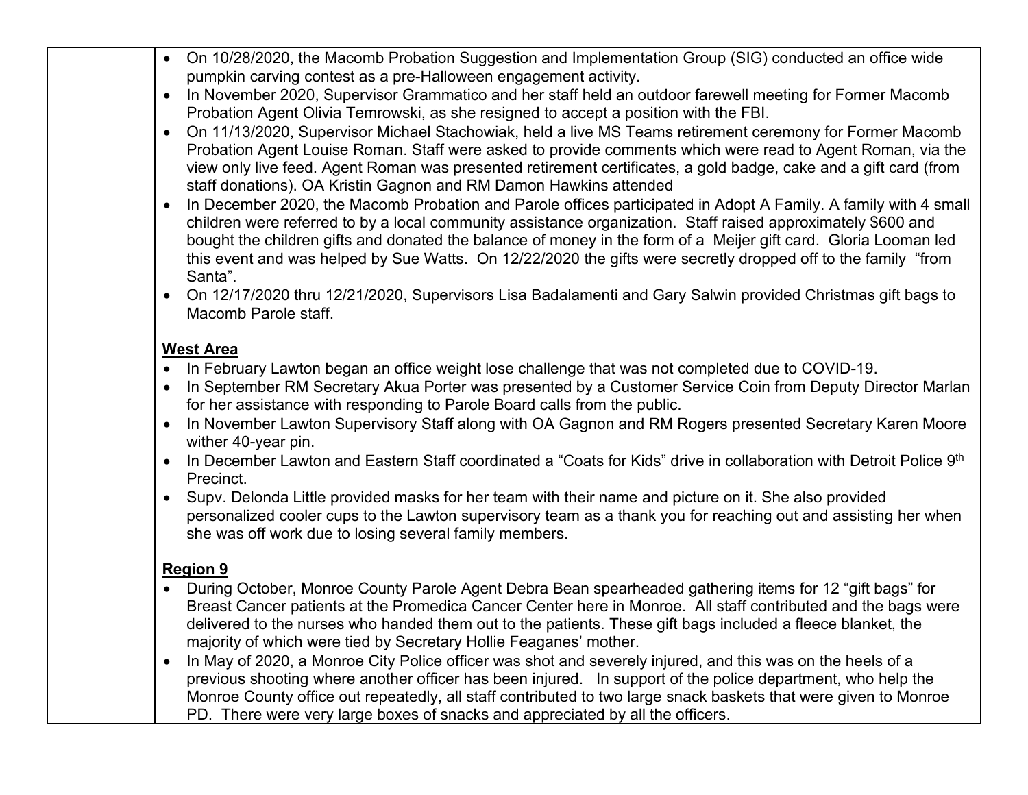- On 10/28/2020, the Macomb Probation Suggestion and Implementation Group (SIG) conducted an office wide pumpkin carving contest as a pre-Halloween engagement activity.
- In November 2020, Supervisor Grammatico and her staff held an outdoor farewell meeting for Former Macomb Probation Agent Olivia Temrowski, as she resigned to accept a position with the FBI.
- On 11/13/2020, Supervisor Michael Stachowiak, held a live MS Teams retirement ceremony for Former Macomb Probation Agent Louise Roman. Staff were asked to provide comments which were read to Agent Roman, via the view only live feed. Agent Roman was presented retirement certificates, a gold badge, cake and a gift card (from staff donations). OA Kristin Gagnon and RM Damon Hawkins attended
- In December 2020, the Macomb Probation and Parole offices participated in Adopt A Family. A family with 4 small children were referred to by a local community assistance organization. Staff raised approximately \$600 and bought the children gifts and donated the balance of money in the form of a Meijer gift card. Gloria Looman led this event and was helped by Sue Watts. On 12/22/2020 the gifts were secretly dropped off to the family "from Santa".
- On 12/17/2020 thru 12/21/2020, Supervisors Lisa Badalamenti and Gary Salwin provided Christmas gift bags to Macomb Parole staff.

## **West Area**

- In February Lawton began an office weight lose challenge that was not completed due to COVID-19.
- In September RM Secretary Akua Porter was presented by a Customer Service Coin from Deputy Director Marlan for her assistance with responding to Parole Board calls from the public.
- In November Lawton Supervisory Staff along with OA Gagnon and RM Rogers presented Secretary Karen Moore wither 40-year pin.
- In December Lawton and Eastern Staff coordinated a "Coats for Kids" drive in collaboration with Detroit Police 9th Precinct.
- Supv. Delonda Little provided masks for her team with their name and picture on it. She also provided personalized cooler cups to the Lawton supervisory team as a thank you for reaching out and assisting her when she was off work due to losing several family members.

# **Region 9**

- During October, Monroe County Parole Agent Debra Bean spearheaded gathering items for 12 "gift bags" for Breast Cancer patients at the Promedica Cancer Center here in Monroe. All staff contributed and the bags were delivered to the nurses who handed them out to the patients. These gift bags included a fleece blanket, the majority of which were tied by Secretary Hollie Feaganes' mother.
- In May of 2020, a Monroe City Police officer was shot and severely injured, and this was on the heels of a previous shooting where another officer has been injured. In support of the police department, who help the Monroe County office out repeatedly, all staff contributed to two large snack baskets that were given to Monroe PD. There were very large boxes of snacks and appreciated by all the officers.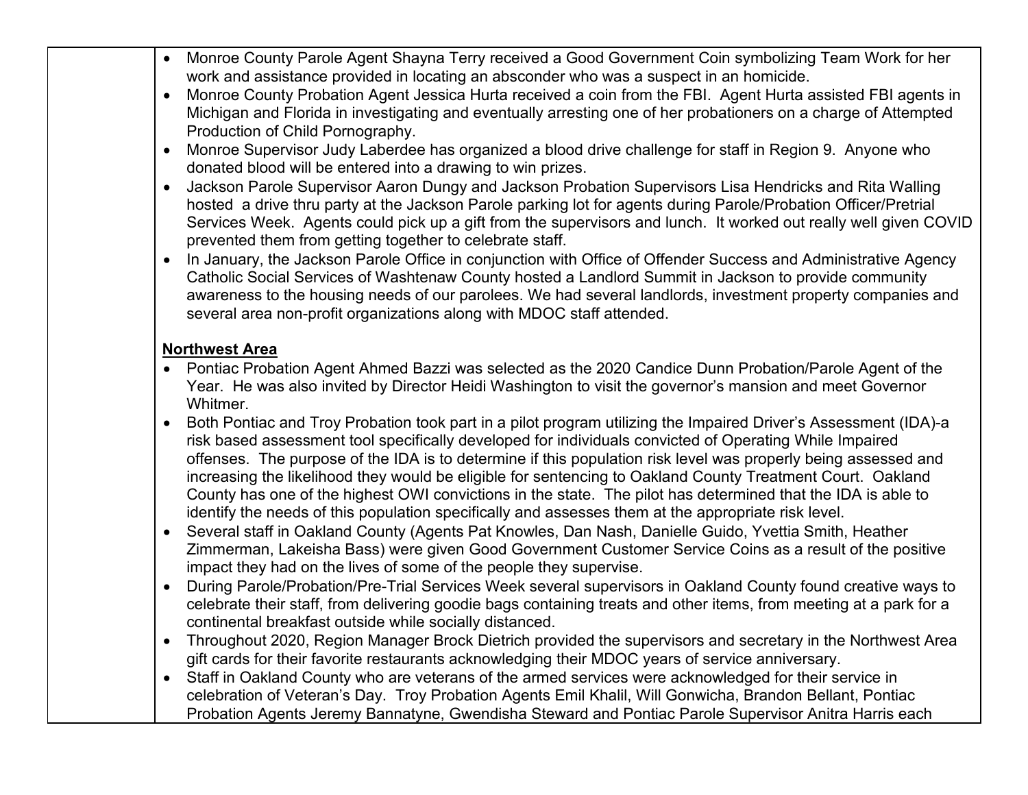- Monroe County Parole Agent Shayna Terry received a Good Government Coin symbolizing Team Work for her work and assistance provided in locating an absconder who was a suspect in an homicide.
- Monroe County Probation Agent Jessica Hurta received a coin from the FBI. Agent Hurta assisted FBI agents in Michigan and Florida in investigating and eventually arresting one of her probationers on a charge of Attempted Production of Child Pornography.
- Monroe Supervisor Judy Laberdee has organized a blood drive challenge for staff in Region 9. Anyone who donated blood will be entered into a drawing to win prizes.
- Jackson Parole Supervisor Aaron Dungy and Jackson Probation Supervisors Lisa Hendricks and Rita Walling hosted a drive thru party at the Jackson Parole parking lot for agents during Parole/Probation Officer/Pretrial Services Week. Agents could pick up a gift from the supervisors and lunch. It worked out really well given COVID prevented them from getting together to celebrate staff.
- In January, the Jackson Parole Office in conjunction with Office of Offender Success and Administrative Agency Catholic Social Services of Washtenaw County hosted a Landlord Summit in Jackson to provide community awareness to the housing needs of our parolees. We had several landlords, investment property companies and several area non-profit organizations along with MDOC staff attended.

#### **Northwest Area**

- Pontiac Probation Agent Ahmed Bazzi was selected as the 2020 Candice Dunn Probation/Parole Agent of the Year. He was also invited by Director Heidi Washington to visit the governor's mansion and meet Governor Whitmer.
- Both Pontiac and Troy Probation took part in a pilot program utilizing the Impaired Driver's Assessment (IDA)-a risk based assessment tool specifically developed for individuals convicted of Operating While Impaired offenses. The purpose of the IDA is to determine if this population risk level was properly being assessed and increasing the likelihood they would be eligible for sentencing to Oakland County Treatment Court. Oakland County has one of the highest OWI convictions in the state. The pilot has determined that the IDA is able to identify the needs of this population specifically and assesses them at the appropriate risk level.
- Several staff in Oakland County (Agents Pat Knowles, Dan Nash, Danielle Guido, Yvettia Smith, Heather Zimmerman, Lakeisha Bass) were given Good Government Customer Service Coins as a result of the positive impact they had on the lives of some of the people they supervise.
- During Parole/Probation/Pre-Trial Services Week several supervisors in Oakland County found creative ways to celebrate their staff, from delivering goodie bags containing treats and other items, from meeting at a park for a continental breakfast outside while socially distanced.
- Throughout 2020, Region Manager Brock Dietrich provided the supervisors and secretary in the Northwest Area gift cards for their favorite restaurants acknowledging their MDOC years of service anniversary.
- Staff in Oakland County who are veterans of the armed services were acknowledged for their service in celebration of Veteran's Day. Troy Probation Agents Emil Khalil, Will Gonwicha, Brandon Bellant, Pontiac Probation Agents Jeremy Bannatyne, Gwendisha Steward and Pontiac Parole Supervisor Anitra Harris each